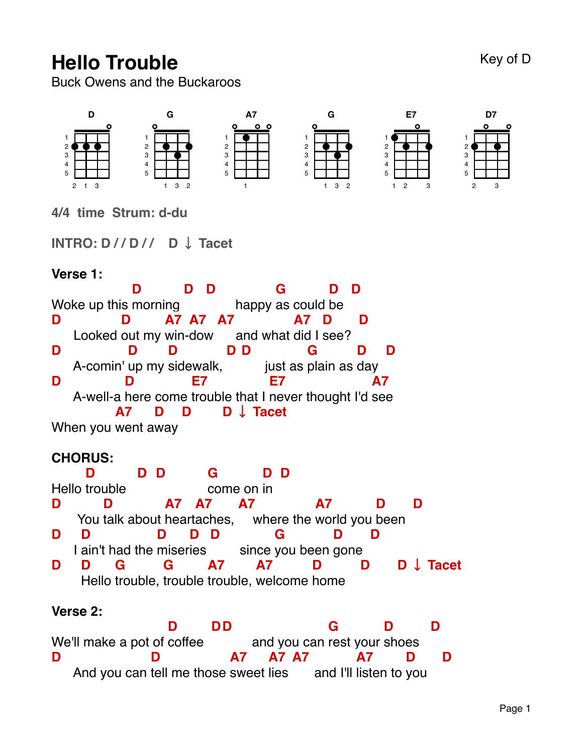# **Hello Trouble** Key of D

Buck Owens and the Buckaroos



**4/4 time Strum: d-du**

**INTRO: D / / D / / D ↓ Tacet**

# **Verse 1:**

|                                                               |                                                             | D      | D<br>D    | G                                                       | D              | D         |                      |  |  |
|---------------------------------------------------------------|-------------------------------------------------------------|--------|-----------|---------------------------------------------------------|----------------|-----------|----------------------|--|--|
|                                                               | Woke up this morning happy as could be                      |        |           |                                                         |                |           |                      |  |  |
| D                                                             | D                                                           |        | A7 A7 A7  |                                                         | <b>A7</b><br>D | D         |                      |  |  |
|                                                               |                                                             |        |           | Looked out my win-dow and what did I see?               |                |           |                      |  |  |
| D                                                             |                                                             | D      |           | D D                                                     | G              | D<br>D    |                      |  |  |
|                                                               |                                                             |        |           | A-comin' up my sidewalk, just as plain as day           |                |           |                      |  |  |
| D                                                             |                                                             | D      | E7        | E7                                                      |                | <b>A7</b> |                      |  |  |
|                                                               |                                                             |        |           | A-well-a here come trouble that I never thought I'd see |                |           |                      |  |  |
|                                                               |                                                             | A7 D   | D         | $D \downarrow$ Tacet                                    |                |           |                      |  |  |
|                                                               | When you went away                                          |        |           |                                                         |                |           |                      |  |  |
|                                                               |                                                             |        |           |                                                         |                |           |                      |  |  |
| <b>CHORUS:</b>                                                |                                                             |        |           |                                                         |                |           |                      |  |  |
|                                                               | D                                                           | D<br>D | G         | D<br>D                                                  |                |           |                      |  |  |
| Hello trouble<br>come on in                                   |                                                             |        |           |                                                         |                |           |                      |  |  |
| D                                                             | D                                                           |        | A7 A7 A7  |                                                         | <b>A7</b>      | D         | D                    |  |  |
|                                                               |                                                             |        |           | You talk about heartaches, where the world you been     |                |           |                      |  |  |
| D                                                             | D                                                           | D      | D<br>D    | G                                                       | D              | D         |                      |  |  |
|                                                               |                                                             |        |           | I ain't had the miseries since you been gone            |                |           |                      |  |  |
| D                                                             | G<br>D                                                      | G      | <b>A7</b> | <b>A7</b>                                               | D              | D         | $D \downarrow$ Tacet |  |  |
|                                                               |                                                             |        |           | Hello trouble, trouble trouble, welcome home            |                |           |                      |  |  |
|                                                               |                                                             |        |           |                                                         |                |           |                      |  |  |
| Verse 2:                                                      |                                                             |        |           |                                                         |                |           |                      |  |  |
|                                                               |                                                             | D      |           |                                                         | G              |           | D                    |  |  |
| DD.<br>We'll make a pot of coffee and you can rest your shoes |                                                             |        |           |                                                         |                |           |                      |  |  |
|                                                               |                                                             |        |           |                                                         |                |           |                      |  |  |
| D                                                             |                                                             | D      |           | <b>A7</b>                                               | <b>A7 A7</b>   | <b>A7</b> | D<br>D               |  |  |
|                                                               | And you can tell me those sweet lies and I'll listen to you |        |           |                                                         |                |           |                      |  |  |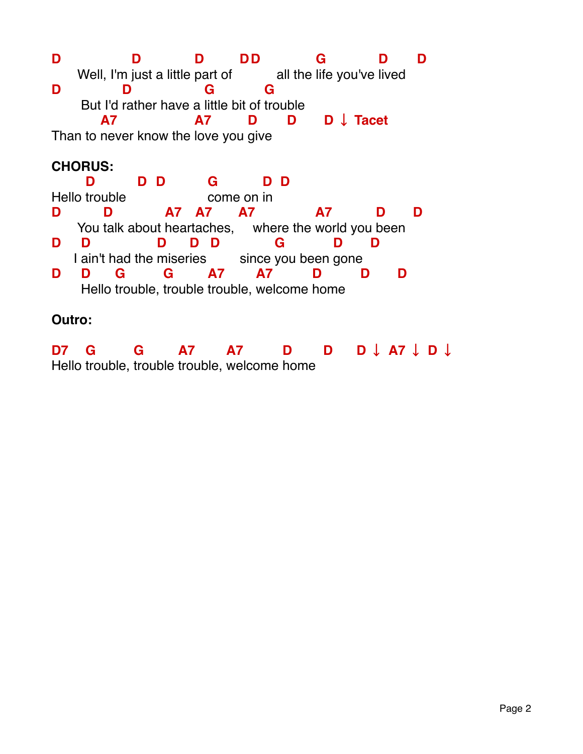**D** Well, I'm just a little part of all the life you've lived **D D DD G D D D** But I'd rather have a little bit of trouble **D G G** Than to never know the love you give **A7 A7 D D D ↓ Tacet**

### **CHORUS:**

Hello trouble **D D D G D D** come on in **D D** You talk about heart aches, where the world you been **A7 A7 A7 A7 D D D D D D D G D D** I ain't had the miseries since you been gone **D D** Hello trouble, trouble trouble, welcome home **G G A7 A7 D D D**

### **Outro:**

**D7 G G A7 A7 D D D ↓ A7 ↓ D ↓**Hello trouble, trouble trouble, welcome home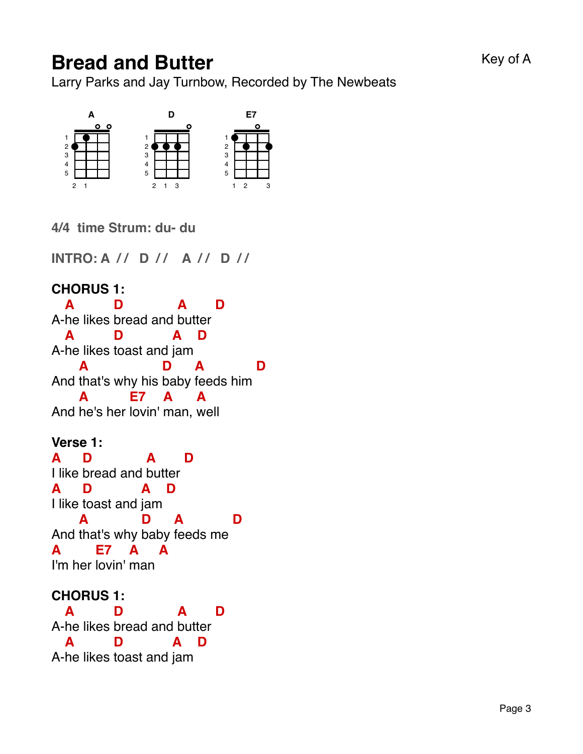# **Bread and Butter** Key of A

Larry Parks and Jay Turnbow, Recorded by The Newbeats



**4/4 time Strum: du- du**

**INTRO: A / / D / / A / / D / /**

#### **CHORUS 1:**

A-he likes bread and butter **A D A D** A-he likes toast and jam **A D A D** And that's why his baby feeds him **A D A D** And he's her lovin' man, well **A E7 A A**

#### **Verse 1:**

**A** I like bread and butter **D A D A** I like toast and jam **D A D** And that's why baby feeds me **A D A D A** I'm her lovin' man **E7 A A**

#### **CHORUS 1:**

A-he likes bread and butter **A D A D** A-he likes toast and jam **A D A D**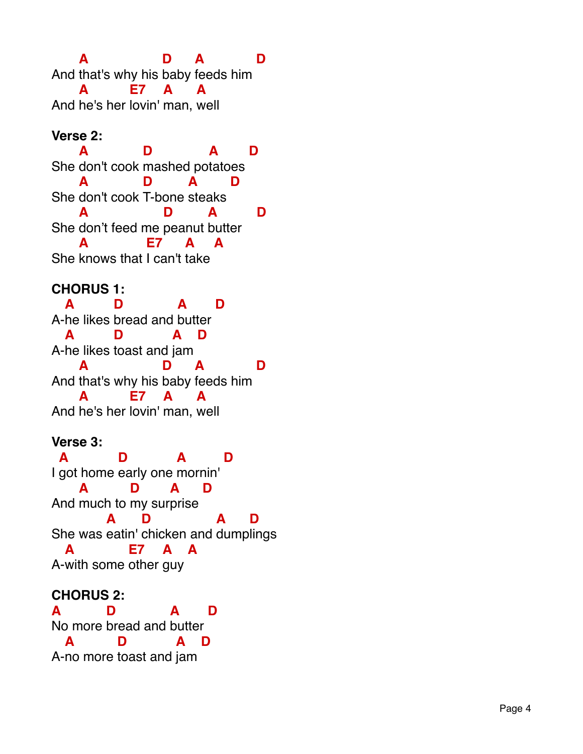And that's why his baby feeds him **A D A D** And he's her lovin' man, well **A E7 A A**

#### **Verse 2:**

She don't cook mashed po tatoes **A D A D** She don't cook T-bone steaks **A D A D** She don't feed me peanut butter **A D A D** She knows that I can't take **A E7 A A**

#### **CHORUS 1:**

A-he likes bread and butter **A D A D** A-he likes toast and jam **A D A D** And that's why his baby feeds him **A D A D** And he's her lovin' man, well **A E7 A A**

#### **Verse 3:**

**A**<br>I got home early one mornin' **D A D** And much to my sur prise **A D A D** She was eatin' chicken and dump lings **A D A D** A-with some other guy **A E7 A A**

#### **CHORUS 2:**

**A** No more bread and butter **D A D** A-no more toast and jam **A D A D**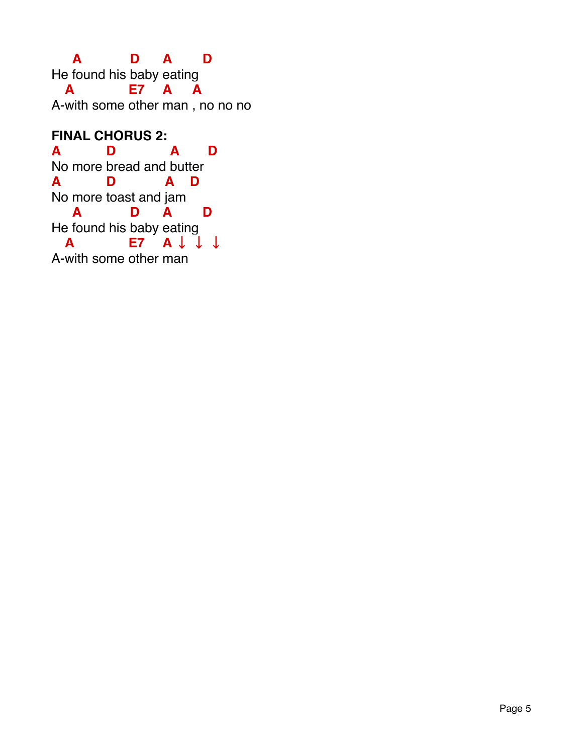He found his baby eating **A D A D** A-with some other man , no no no **A E7 A A**

**FINAL CHORUS 2: A** No more bread and butter **D A D A** No more toast and jam **D A D** He found his baby eating **A D A D** A-with some other man**A E7 A ↓ ↓ ↓**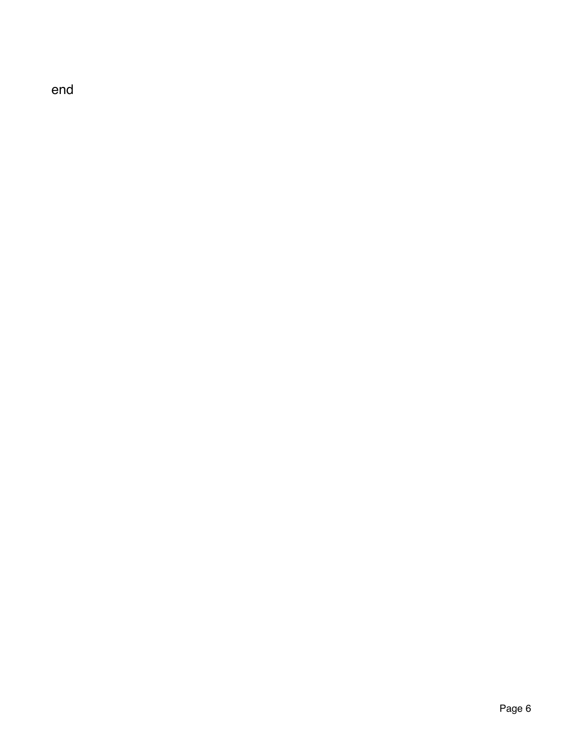end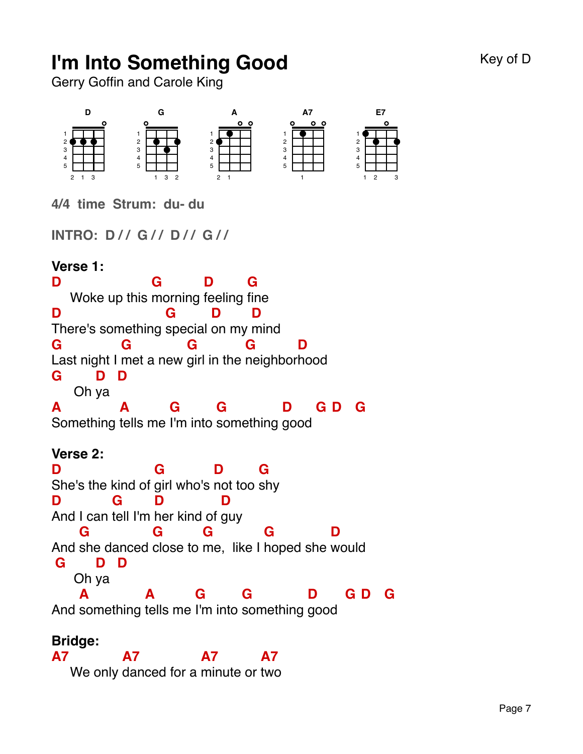# I'm Into Something Good Key of D

Gerry Goffin and Carole King



**4/4 time Strum: du- du**

**INTRO: D / / G / / D / / G / /**

**Verse 1: D** Woke up this morning feeling fine **G D G D** There's something special on my mind **G D D G** Last night I met a new girl in the neighborhood **G G G D G** Oh ya **D D A** Something tells me I'm into something good **A G G D G D G Verse 2: D** She's the kind of girl who's not too shy **G D G D** And I can tell I'm her kind of guy **G D D** And she danced close to me, like I hoped she would **G G G G D G** Oh ya **D D** And something tells me I'm into something good **A A G G D G D G Bridge: A7 A7 A7 A7**

We only danced for a minute or two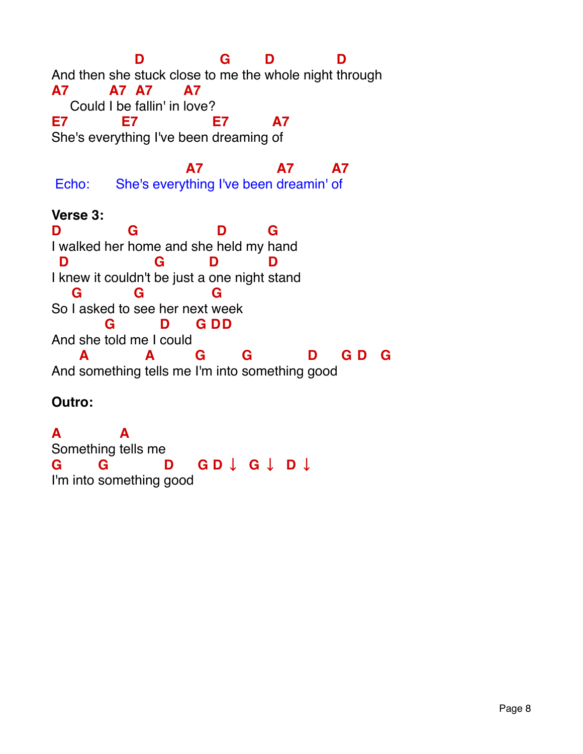And then she stuck close to me the whole night through **D G D D A7** Could I be fallin' in love? **A7 A7 A7 E7** She's every thing I've been dreaming of **E7 E7 A7** Echo: She's every thing I've been dreamin' of **A7 A7 A7**

#### **Verse 3:**

**D** I walked her home and she held my hand **G D G** I knew it couldn't be just a one night stand **D G D D** So I asked to see her next week **G G G** And she told me I could **G D G DD** And something tells me I'm into something good **A A G G D G D G**

# **Outro:**

**A** Something tells me **A G** I'm into something good **G D G D ↓ G ↓ D ↓**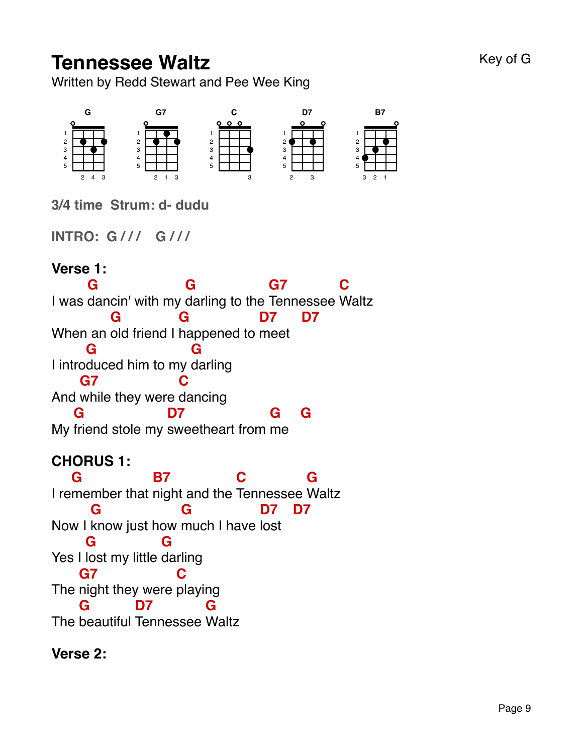# **Tennessee Waltz** Key of G

Written by Redd Stewart and Pee Wee King



**3/4 time Strum: d- dudu**

**INTRO: G / / / G / / /**

### **Verse 1:**

I was dancin' with my darling to the Tennessee Waltz **G G G7 C** When an old friend I happened to meet **G G D7 D7** I intro duced him to my darling **G G** And while they were dancing **G7 C** My friend stole my sweetheart from me **G D7 G G**

# **CHORUS 1:**

I re member that night and the Tennessee Waltz **G B7 C G** Now I know just how much I have lost **G G D7 D7** Yes I lost my little darling **G G** The night they were playing **G7 C** The beautiful Tennessee Waltz **G D7 G**

**Verse 2:**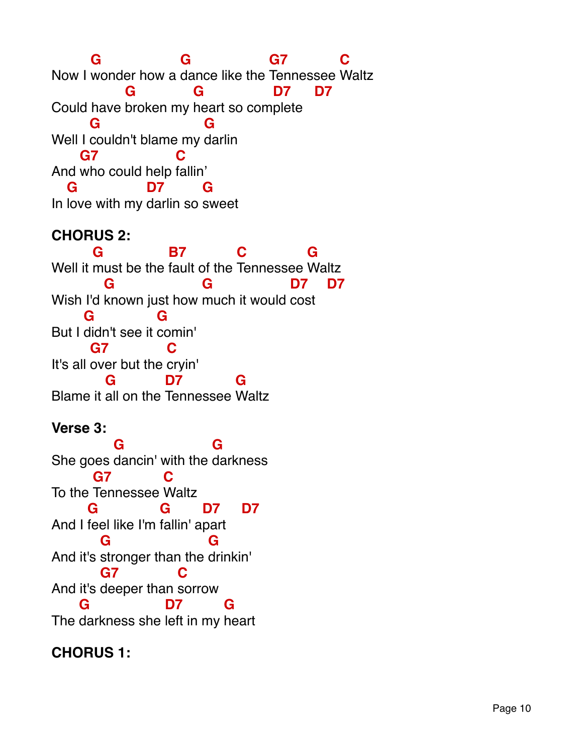Now I wonder how a dance like the Tennessee Waltz **G G G7 C** Could have broken my heart so com plete **G G D7 D7** Well I couldn't blame my darlin **G G** And who could help fallin' **G7 C** In love with my darlin so sweet **G D7 G**

# **CHORUS 2:**

Well it must be the fault of the Tennessee Waltz **G B7 C G** Wish I'd known just how much it would cost **G G D7 D7** But I didn't see it comin' **G G** It's all over but the cryin' **G7 C** Blame it all on the Tennessee Waltz **G D7 G**

# **Verse 3:**

She goes dancin' with the darkness **G G** To the Tennessee Waltz **G7 C** And I feel like I'm fallin' a part **G G D7 D7** And it's stronger than the drinkin' **G G** And it's deeper than sorrow **G7 C** The darkness she left in my heart **G D7 G**

# **CHORUS 1:**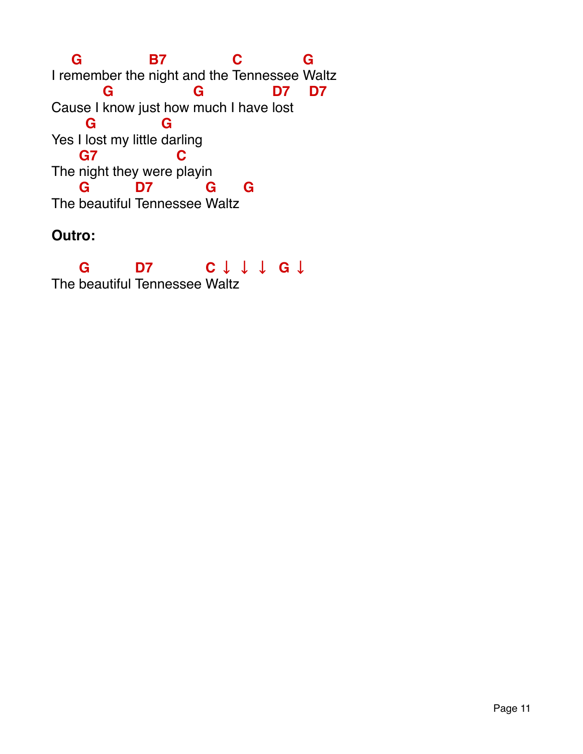I remember the night and the Tennessee Waltz **G B7 C G** Cause I know just how much I have lost **G G D7 D7** Yes I lost my little darling **G G** The night they were playin **G7 C** The beautiful Tennessee Waltz **G D7 G G**

# **Outro:**

The beautiful Tennessee Waltz **G D7 C ↓ ↓ ↓ G ↓**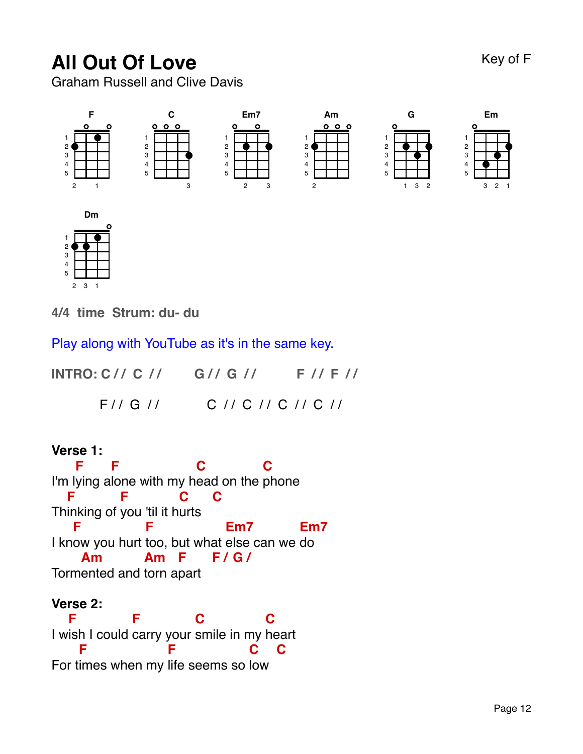# **All Out Of Love** Key of F

Graham Russell and Clive Davis



**4/4 time Strum: du- du**

Play along with YouTube as it's in the same key.

**INTRO: C// C// G// G// F// F//** 

F / / G / / C / / C / / C / / C / /

**Verse 1:** I'm lying alone with my head on the phone **F F C C** Th inking of you 'til it h urts **F F C C** I kn ow you hurt too, but what else can we do **F F Em7 Em7** Torm ented and torn a part **Am Am F F / G /**

#### **Verse 2:**

I w ish I could carry your smile in my heart **F F C C** For t imes when my life seems so low **F F C C**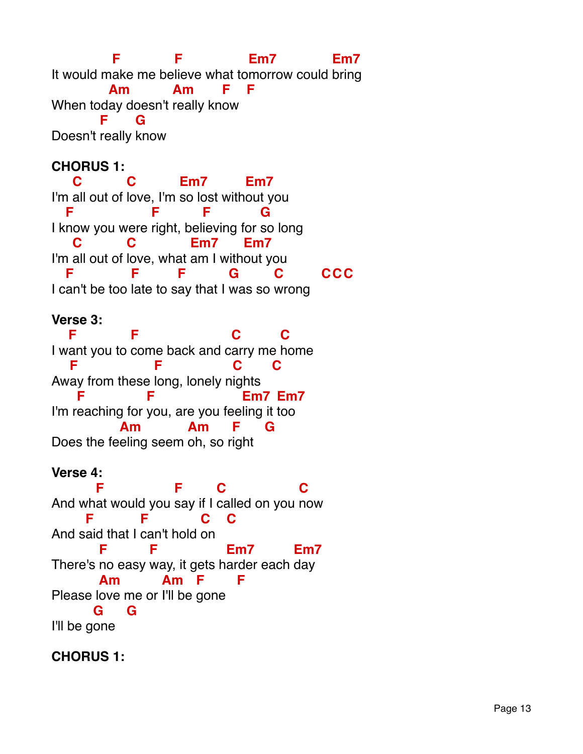It would m ake me be lieve what to morrow could bring **F F Em7 Em7** When today doesn't really know **Am Am F F** Doesn't really know **F G**

### **CHORUS 1:**

I'm all out of love, I'm so lost with out you **C C Em7 Em7** I know you were right, believing for so long **F F F G** I'm all out of love, what am I without you **C C Em7 Em7** I can't be too late to say that I was so wrong **F F F G C CCC**

#### **Verse 3:**

I w ant you to come back and c arry me home **F F C C** Aw ay from these long, lonely n ights **F F C C** I'm r eaching for you, are you fee ling it too **F F Em7 Em7** Does the feeling seem oh, so right **Am Am F G**

#### **Verse 4:**

And wh at would you say if I called on you now **F F C C** And s aid that I can't hold on **F F C C** There's no easy way, it gets h arder each day **F F Em7 Em7** Please l ove me or I'll be gone **Am Am F F** I'll be g one **G G**

# **CHORUS 1:**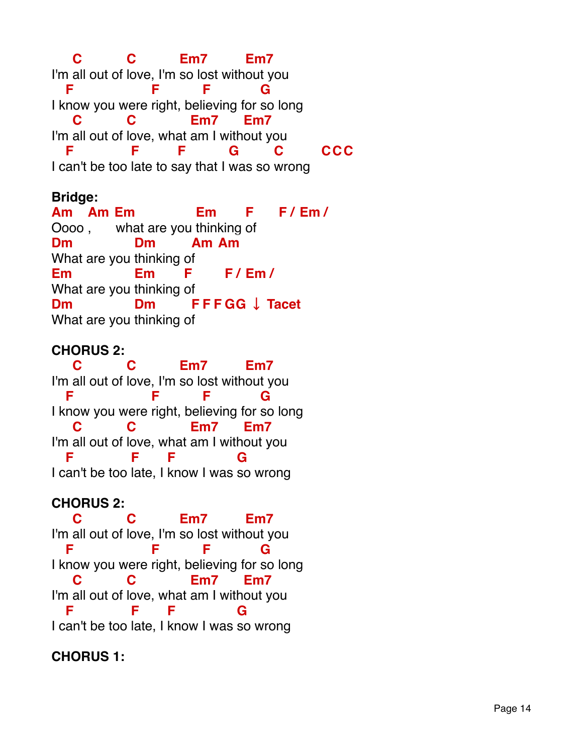I'm all out of love, I'm so lost with out you **C C Em7 Em7** I know you were right, believing for so long **F F F G** I'm all out of love, what am I without you **C C Em7 Em7** I can't be too late to say that I was so wrong **F F F G C CCC**

### **Bridge:**

**Am Am Em** Oooo , what are you thinking of **Em F F / Em / Dm** What are you thinking o f **Dm Am Am Em** What are you thinking of **Em F F / Em / Dm** What are you thinking o f **Dm F F F GG ↓ Tacet**

### **CHORUS 2:**

I'm all out of love, I'm so lost with out you **C C Em7 Em7** I know you were right, believing for so long **F F F G** I'm all out of love, what am I without you **C C Em7 Em7** I can't be too late, I know I was so wrong **F F F G**

# **CHORUS 2:**

I'm all out of love, I'm so lost with out you **C C Em7 Em7** I know you were right, believing for so long **F F F G** I'm all out of love, what am I without you **C C Em7 Em7** I can't be too late, I know I was so wrong **F F F G**

# **CHORUS 1:**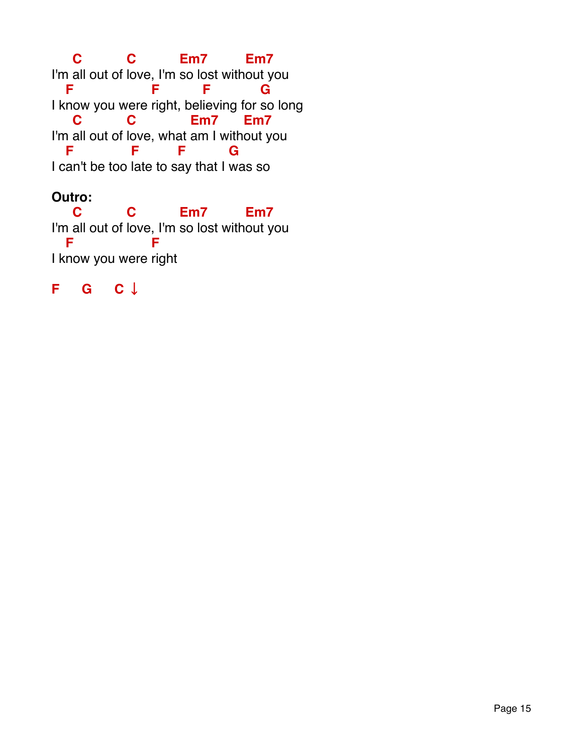I'm all out of love, I'm so lost with out you **C C Em7 Em7** I know you were right, believing for so long **F F F G** I'm all out of love, what am I without you **C C Em7 Em7** I can't be too late to say that I was so **F F F G**

### **Outro:**

I'm all out of love, I'm so lost with out you **C C Em7 Em7** I k now you were right **F F**

**F G C ↓**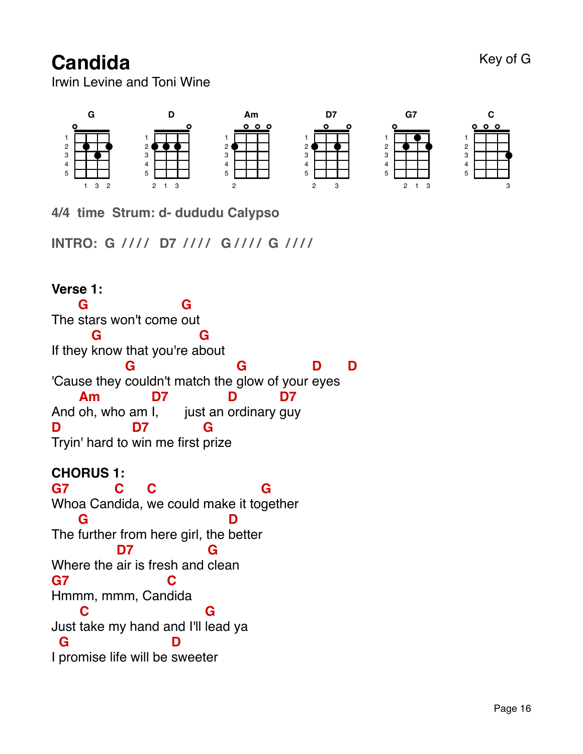**Candida** Key of G

Irwin Levine and Toni Wine



**4/4 time Strum: d- dududu Calypso**

**INTRO: G / / / / D7 / / / / G / / / / G / / / /**

**Verse 1:** The stars won't come out **G G** If they know that you're a bout **G G** 'Cause they couldn't match the glow of your eyes **G G D D** And oh, who am **Am D7** I, just an ordinary guy **D D7 D** Tryin' hard to win me first prize **D7 G**

#### **CHORUS 1:**

**G7** Whoa Can dida, we could make it to gether **C C G** The further from here girl, the better **G D** Where the air is fresh and clean **D7 G G7** Hmmm, mmm, Can dida **C** Just take my hand and I'll lead ya **C G** I promise life will be sweeter**G D**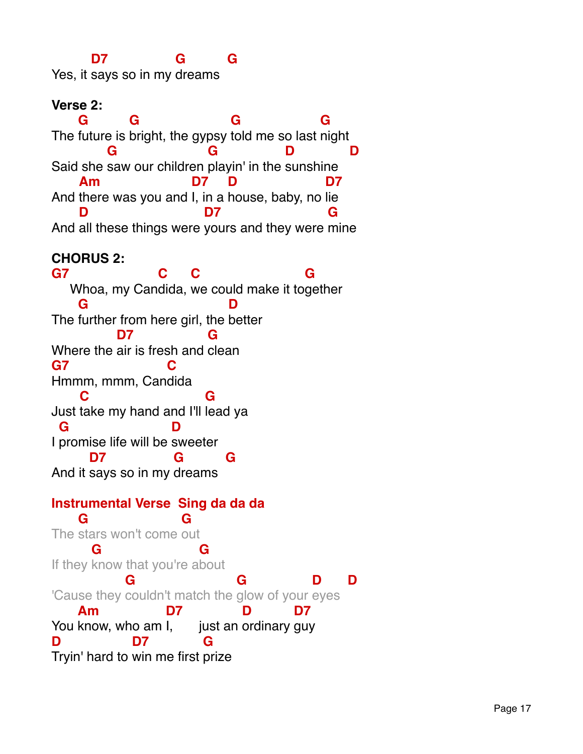#### **D7 G G**

Yes, it says so in my dreams

### **Verse 2:**

The future is bright, the gypsy told me so last night **G G G G** Said she saw our children playin' in the sunshine **G G D D** And there was you and I, in a house, baby, no lie **Am D7 D D7** And all these things were yours and they were mine **D D7 G**

# **CHORUS 2:**

**G7** Whoa, my Can dida, we could make it to gether **C C G** The further from here girl, the better **G D** Where the air is fresh and clean **D7 G G7** Hmmm, mmm, Can dida **C** Just take my hand and I'll lead ya **C G** I promise life will be sweeter **G D** And it says so in my dreams **D7 G G Instrumental Verse Sing da da da** The stars won't come out **G G** If they know that you're a bout **G G** 'Cause they couldn't match the glow of your eyes **G G D D** You know, who am **Am D7** I, just an ordinary guy **D D7 D** Tryin' hard to win me first prize**D7 G**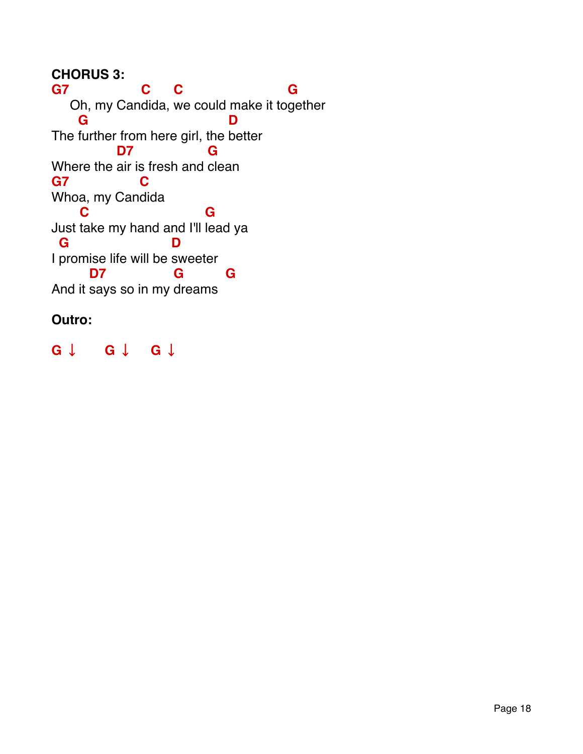**CHORUS 3: G7** Oh, my Can dida, we could make it to gether **C C G** The further from here girl, the better **G D** Where the air is fresh and clean **D7 G G7** Whoa, my Can dida **C** Just take my hand and I'll lead ya **C G** I promise life will be sweeter **G D** And it says so in my dreams **D7 G G**

# **Outro:**

**G ↓ G ↓ G ↓**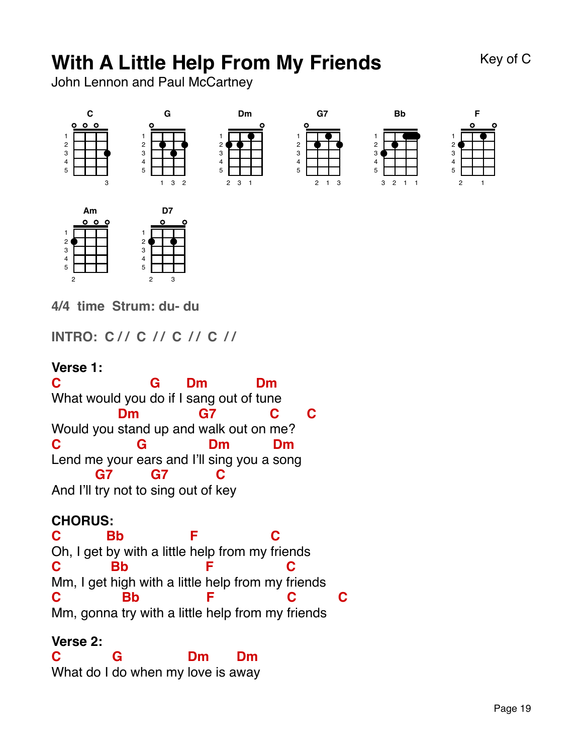# **With A Little Help From My Friends** Key of C

John Lennon and Paul McCartney



**4/4 time Strum: du- du**

**INTRO: C// C // C // C //** 

2 3

**Verse 1: C** What would you do if I sang out of tune **G Dm Dm** Would you stand up and walk out on me? **Dm G7 C C C** Lend me your ears and I'll sing you a song **G Dm Dm** And I'll try not to sing out of key **G7 G7 C**

#### **CHORUS:**

 $\mathfrak{p}$ 

**C** Oh, I get by with a little help from my friends **Bb F C C** Mm, I get high with a little help from my friends **Bb F C C** Mm, gonna try with a little help from my friends **Bb F C C**

**Verse 2:**

**C** What do I do when my love is away **G Dm Dm**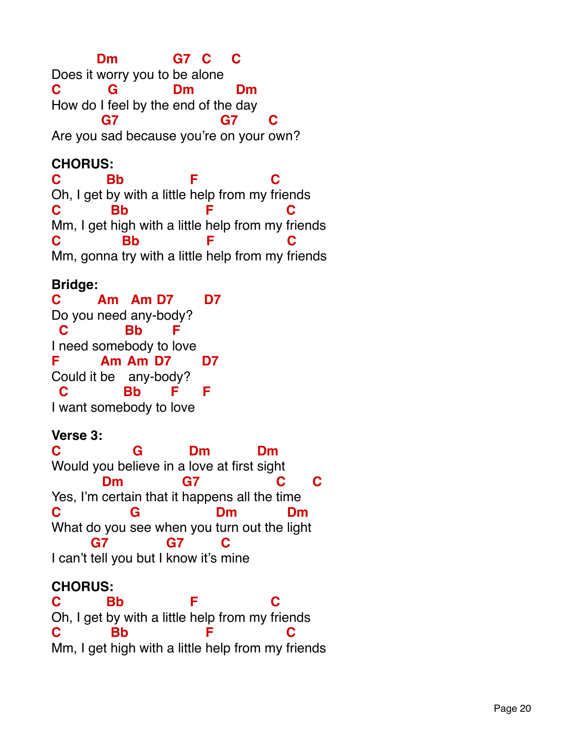Does it worry you to be al one **Dm G7 C C C** How do I feel by the end of the day **G Dm Dm** Are you sad because you're on your own? **G7 G7 C**

# **CHORUS:**

**C** Oh, I get by with a little help from my friends **Bb F C C** Mm, I get high with a little help from my friends **Bb F C C** Mm, gonna try with a little help from my friends **Bb F C**

#### **Bridge:**

**C** Do you need any-body? **Am Am D7 D7** I need some body to love **C Bb F F** Could it be any-body? **Am Am D7 D7** I want some body to love **C Bb F F**

### **Verse 3:**

**C** Would you be lieve in a love at first sight **G Dm Dm** Yes, I'm certain that it happens all the time **Dm G7 C C C** What do you see when you turn out the light **G Dm Dm** I can't tell you but I know it's mine **G7 G7 C**

### **CHORUS:**

**C** Oh, I get by with a little help from my friends **Bb F C C** Mm, I get high with a little help from my friends**Bb F C**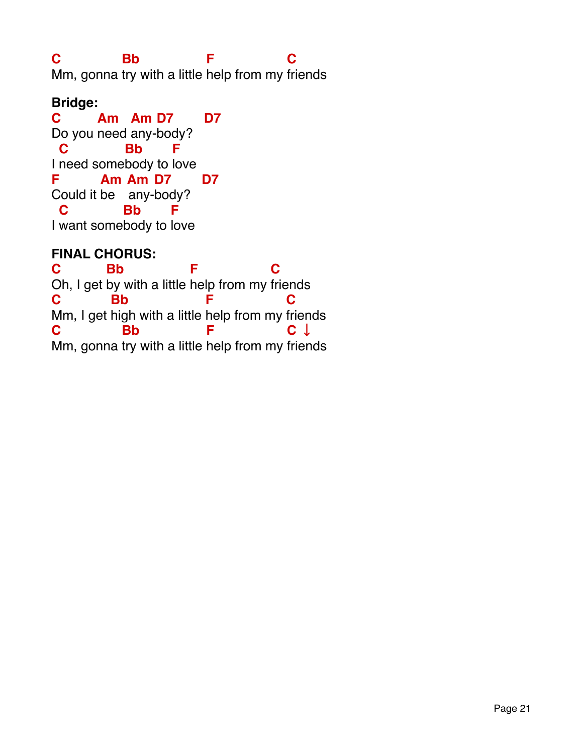#### **C Bb F C**

Mm, gonna try with a little help from my friends

### **Bridge:**

**C** Do you need any-body? **Am Am D7 D7** I need some body to love **C Bb F F** Could it be any-body? **Am Am D7 D7** I want some body to love **C Bb F**

### **FINAL CHORUS:**

**C** Oh, I get by with a little help from my friends **Bb F C C** Mm, I get high with a little help from my friends **Bb F C C** Mm, gonna try with a little help from my friends**Bb F C ↓**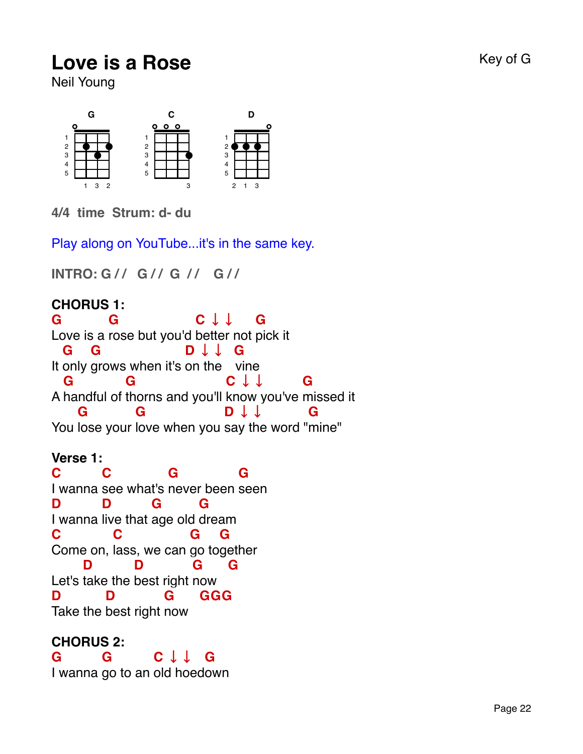# **Love is a Rose** extended the set of G  $\mu$  Key of G

Neil Young



**4/4 time Strum: d- du**

Play along on YouTube...it's in the same key.

**INTRO: G// G// G// G//** 

### **CHORUS 1:**

**G** Love is a rose but you'd better not pick it **G C ↓↓ G** It only grows when it's on the vine **G G D ↓↓ G** A handful of thorns and you'll know you've missed it **G G C ↓↓ G** You lose your love when you say the word "mine" **G G D ↓↓ G**

#### **Verse 1:**

**C** I wanna see what's never been seen **C G G D** I wanna live that age old dream **D G G C** Come on, lass, we can go to gether **C G G** Let's take the best right now **D D G G D** Take the best right now **D G GGG**

### **CHORUS 2:**

**G** I wanna go to an old hoed own**G C ↓↓ G**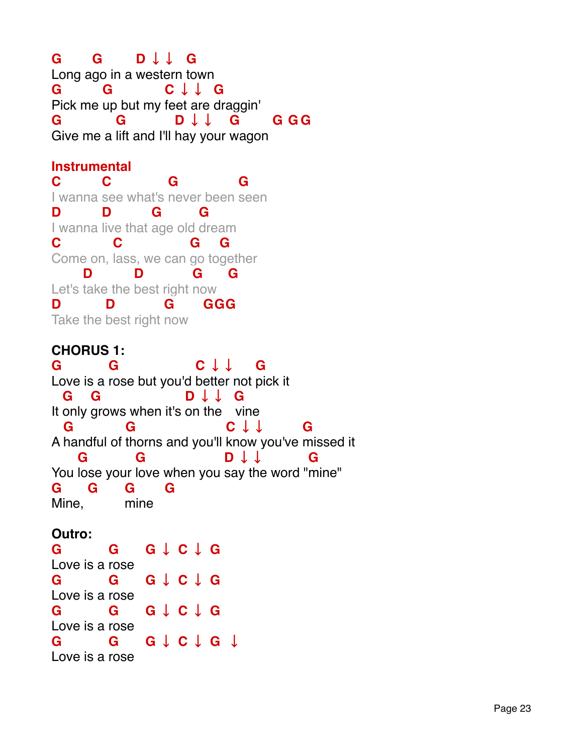**G G D ↓↓ G** Long a go in a western town **G** Pick me up but my feet are draggin' **G C ↓↓ G G** Give me a lift and I'll hay your wagon **G D ↓↓ G G G G**

#### **Instrumental**

**C** I wanna see what's never been seen **C G G D** I wanna live that age old dream **D G G C** Come on, lass, we can go to gether **C G G** Let's take the best right now **D D G G D** Take the best right now **D G GGG**

### **CHORUS 1:**

**G** Love is a rose but you'd better not pick it **G C ↓↓ G** It only grows when it's on the vine **G G D ↓↓ G** A handful of thorns and you'll know you've missed it **G G C ↓↓ G** You lose your love when you say the word "mine" **G G D ↓↓ G G** Mine, **G G** mine **G**

#### **Outro:**

**G** Love is a rose **G G ↓ C ↓ G G** Love is a rose **G G ↓ C ↓ G G** Love is a rose **G G ↓ C ↓ G G** Love is a rose **G G ↓ C ↓ G ↓**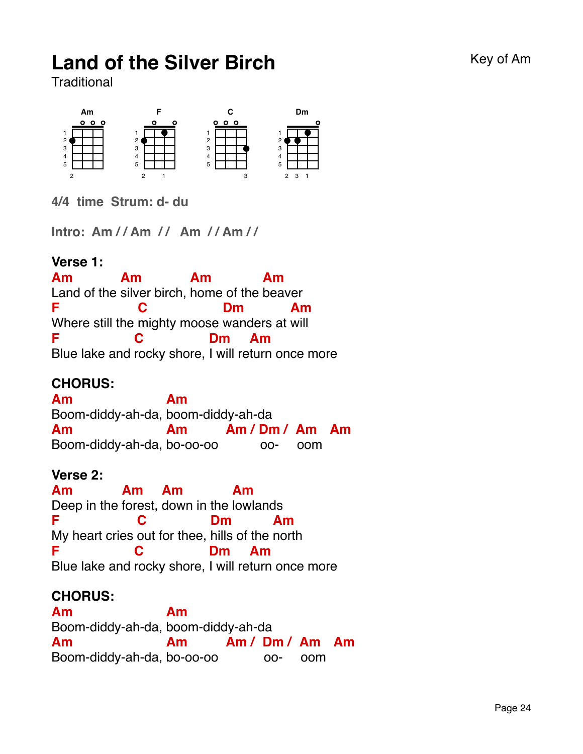# **Land of the Silver Birch** External Control Review of Am

**Traditional** 



**4/4 time Strum: d- du**

**Intro: Am / / Am / / Am / / Am / /**

#### **Verse 1:**

**Am** Land of the silver birch, home of the beaver **Am Am Am F** Where still the mighty moose wanders at will **C Dm Am F** Blue lake and rocky shore, I will re turn once more **C Dm Am**

#### **CHORUS:**

**Am** Boom-diddy-ah-da, boom-diddy-ah-da **Am Am** Boom-diddy-ah-da, bo-oo-oo **Am Am / Dm / Am Am** oooom

#### **Verse 2:**

**Am** Deep in the forest, down in the lowlands **Am Am Am F** My heart cries out for thee, hills of the north **C Dm Am F** Blue lake and rocky shore, I will re turn once more **C Dm Am**

#### **CHORUS:**

**Am** Boom-diddy-ah-da, boom-diddy-ah-da **Am Am** Boom-diddy-ah-da, bo-oo-oo **Am Am / Dm / Am Am**oooom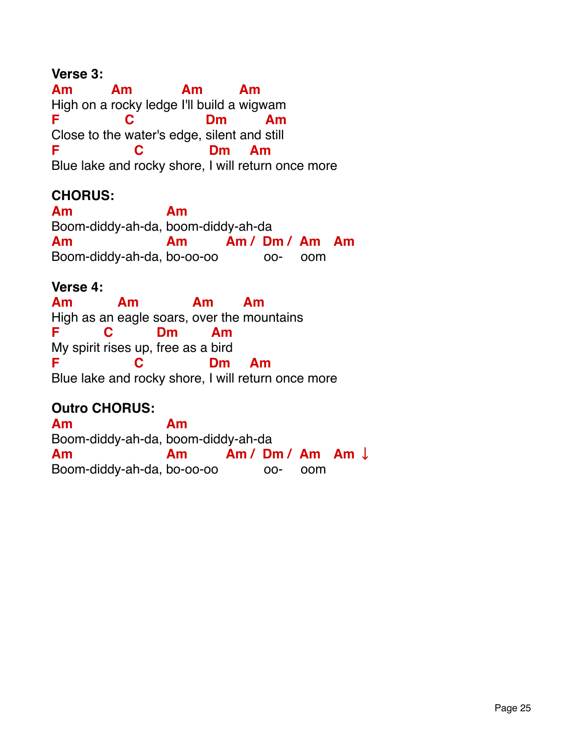#### **Verse 3: Am** High on a rocky ledge I'll build a wigwam **Am Am Am F** Close to the water's edge, silent and still **C Dm Am F** Blue lake and rocky shore, I will re turn once more **C Dm Am**

# **CHORUS:**

**Am** Boom-diddy-ah-da, boom-diddy-ah-da **Am Am** Boom-diddy-ah-da, bo-oo-oo **Am Am / Dm / Am Am** oooom

#### **Verse 4:**

**Am** High as an eagle soars, over the mountains **Am Am Am F** My spirit rises up, free as a bird **C Dm Am F** Blue lake and rocky shore, I will re turn once more **C Dm Am**

# **Outro CHORUS:**

**Am** Boom-diddy-ah-da, boom-diddy-ah-da **Am Am** Boom-diddy-ah-da, bo-oo-oo **Am Am / Dm / Am Am ↓**oooom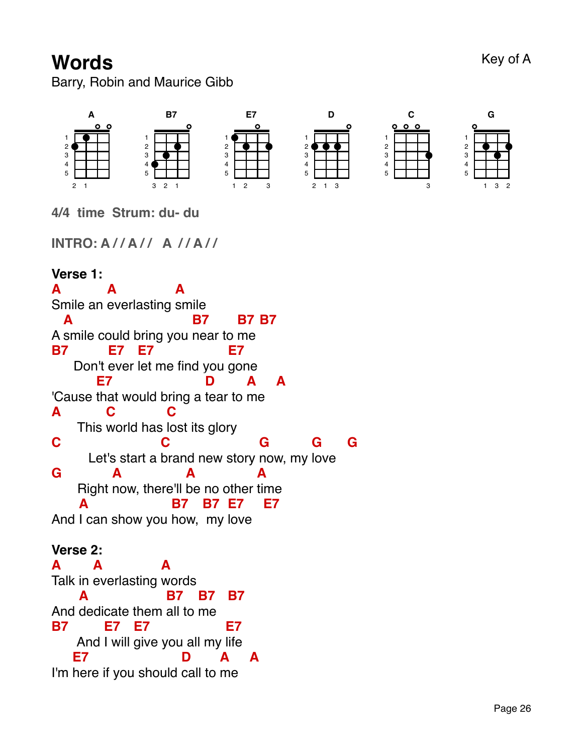# **Words** Key of A

Barry, Robin and Maurice Gibb



**4/4 time Strum: du- du**

**INTRO: A / / A / / A / / A / /**

#### **Verse 1: A** Smile an everlasting smile **A A** A smile could bring you near to me **A B7 B7 B7 B7** Don't ever let me find you gone **E7 E7 E7** 'Cause that would bring a tear to me **E7 D A A A** This world has lost its glory **C C C** Let's start a brand new story now, my love **C G G G G** Right now, there'll be no other time **A A A** And I can show you how, my love **A B7 B7 E7 E7 Verse 2: A** Talk in everlasting words **A A** And dedicate them all to me **A B7 B7 B7 B7** And I will give you all my life **E7 E7 E7 E7 D A A**

I'm here if you should call to me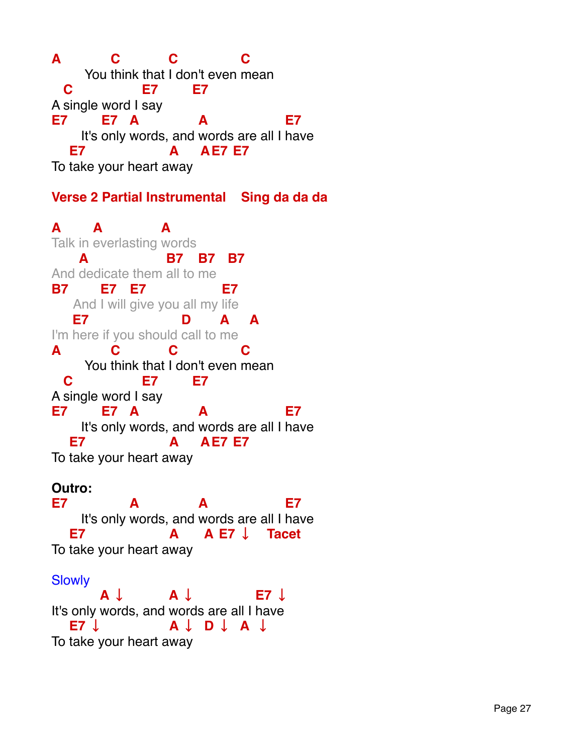**A** You think that I don't even mean **C C C** A single word I say **C E7 E7 E7 E7 A** It's only words, and words are all I have **A E7** To take your heart a way **E7 A AE7 E7**

### **Verse 2 Partial Instrumental Sing da da da**

**A** Talk in everlasting words **A A** And dedicate them all to me **A B7 B7 B7 B7 E7 E7** And I will give you all my life **E7** I'm here if you should call to me **E7 D A A A** You think that I don't even mean **C C C** A single word I say **C E7 E7 E7 E7 A** It's only words, and words are all I have **A E7** To take your heart a way **E7 A AE7 E7 Outro: E7** It's only words, and words are all I have **A A E7** To take your heart a way **E7 A A E7 ↓ Tacet Slowly** It's only words, and words are all I have **A ↓ A ↓ E7 ↓** To take your heart a way **E7 ↓ A ↓ D ↓ A ↓**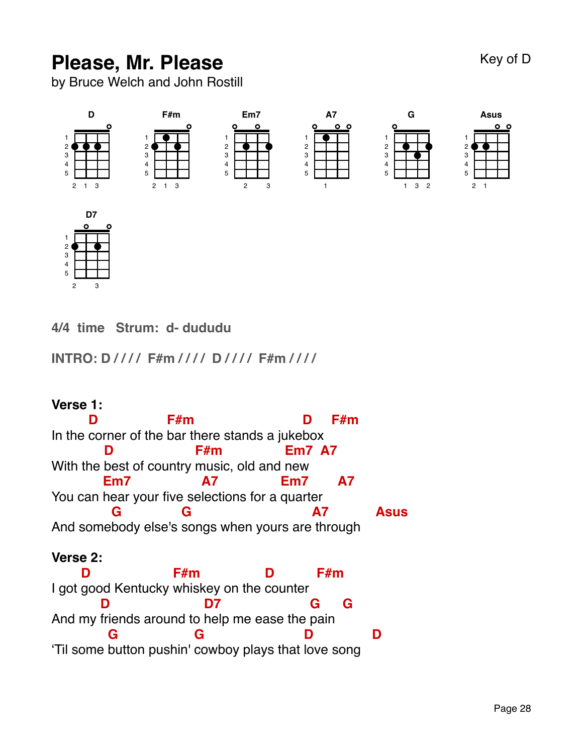# **Please, Mr. Please** Key of D

by Bruce Welch and John Rostill



**4/4 time Strum: d- dududu**

**INTRO: D / / / / F#m / / / / D / / / / F#m / / / /**

### **Verse 1:**

In the corner of the bar there stands a jukebox **D F#m D F#m** With the best of country music, old and new **D F#m Em7 A7** You can hear your five se lections for a quarter **Em7 A7 Em7 A7** And some body else's songs when yours are through **G G A7 Asus Verse 2:** I got good Kentucky whiskey on the counter **D F#m D F#m** And my friends around to help me ease the pain **D D7 G G** 'Til some button pushin' cowboy plays that love song **G G D D**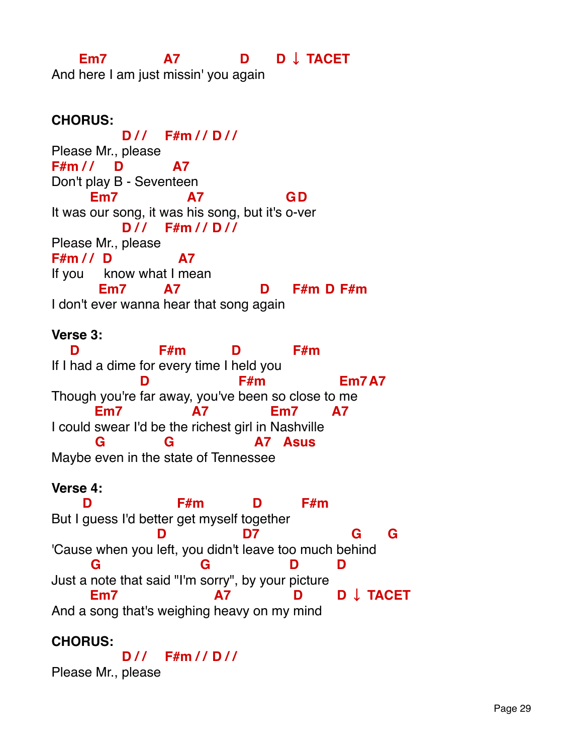#### **Em7 A7 D D ↓ TACET**

And here I am just missin' you a gain

**CHORUS:** Please Mr., please **D / / F#m / / D / / F#m / / D** Don't play B - Seventeen **A7** It was our song, it was his song, but it's o-ver **Em7 A7 G D** Please Mr., please **D / / F#m / / D / / F#m / / D** If you know what I mean **A7** I don't e ver wanna hear that song a gain **Em7 A7 D F#m D F#m Verse 3:** If I had a dime for every time I held you **D F#m D F#m** Though you're far away, you've been so close to me **D F#m Em7 A7** I could swear I'd be the richest girl in Nashville **Em7 A7 Em7 A7** Maybe even in the state of Tennessee **G G A7 Asus Verse 4:** But I guess I'd better get myself to gether **D F#m D F#m** 'Cause when you left, you didn't leave too much behind **D D7 G G** Just a note that said "I'm sorry", by your picture **G G D D** And a song that's weighing heavy on my mind **Em7 A7 D D ↓ TACET**

### **CHORUS:**

Please Mr., please **D / / F#m / / D / /**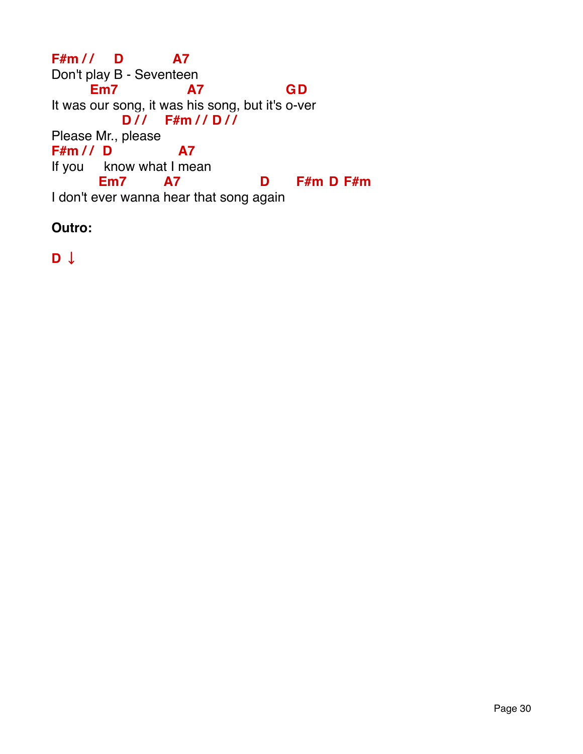**F#m / / D** Don't play B - Seventeen **A7** It was our song, it was his song, but it's o-ver **Em7 A7 G D** Please Mr., please **D / / F#m / / D / / F#m / / D** If you know what I mean **A7** I don't e ver wanna hear that song a gain **Em7 A7 D F#m D F#m**

# **Outro:**

**D ↓**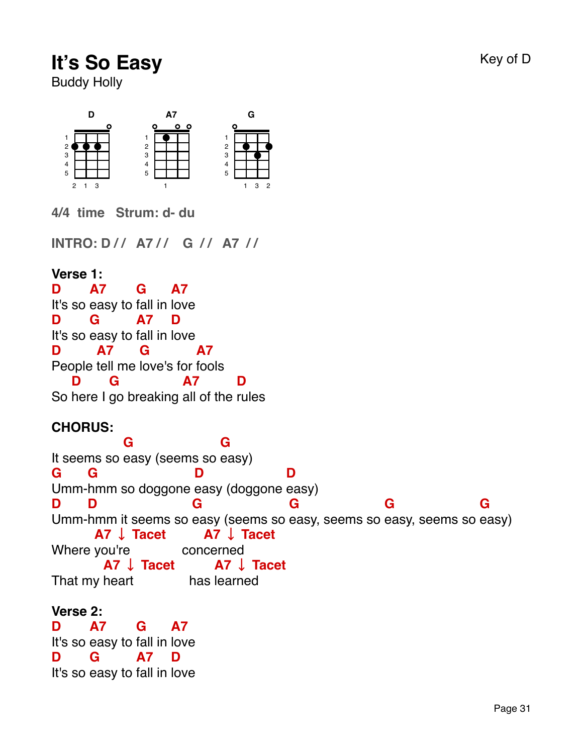# It's So Easy **It's So Easy**

Buddy Holly



**4/4 time Strum: d- du**

**INTRO: D / / A7 / / G / / A7 / /**

#### **Verse 1:**

**D** It's so easy to fall in love **A7 G A7 D** It's so easy to fall in love **G A7 D D** People tell me love's for fools **A7 G A7** So here I go breaking all of the rules **D G A7 D**

### **CHORUS:**

It seems so easy (seems so easy) **G G G** Umm-hmm so doggone easy (doggone easy) **G D D D** Umm-hmm it seems so easy (seems so easy, seems so easy, seems so easy) **D G G G G** Where you're con **A7 ↓ Tacet A7 ↓ Tacet** concerned That my heart has **A7 ↓ Tacet A7 ↓ Tacet** has learned **Verse 2:**

**D** It's so easy to fall in love **A7 G A7 D** It's so easy to fall in love**G A7 D**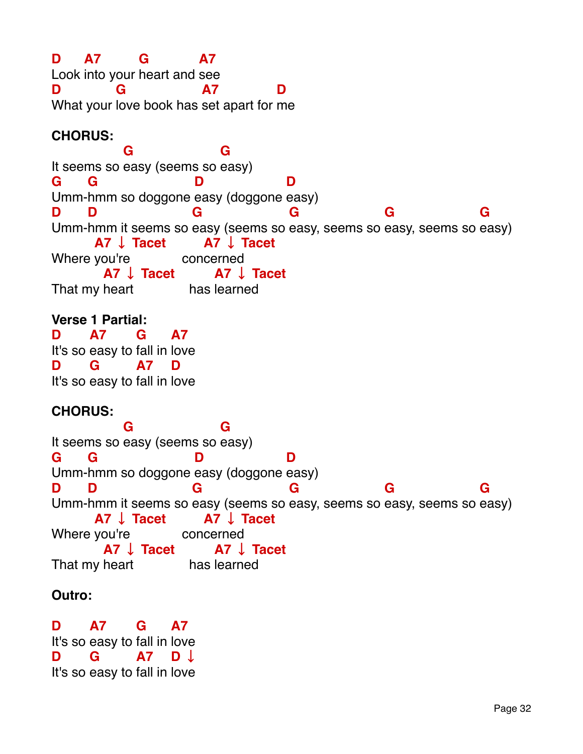**D A7 G** Look into your heart and see **A7 D** What your love book has set apart for me **G A7 D**

#### **CHORUS:**

It seems so easy (seems so easy) **G G G** Umm-hmm so doggone easy (doggone easy) **G D D D** Umm-hmm it seems so easy (seems so easy, seems so easy, seems so easy) **D G G G G** Where you're con **A7 ↓ Tacet A7 ↓ Tacet** concerned That my heart has **A7 ↓ Tacet A7 ↓ Tacet** has learned

#### **Verse 1 Partial:**

**D** It's so easy to fall in love **A7 G A7 D** It's so easy to fall in love **G A7 D**

### **CHORUS:**

It seems so easy (seems so easy) **G G G** Umm-hmm so doggone easy (doggone easy) **G D D D** Umm-hmm it seems so easy (seems so easy, seems so easy, seems so easy) **D G G G G** Where you're con **A7 ↓ Tacet A7 ↓ Tacet** concerned That my heart has **A7 ↓ Tacet A7 ↓ Tacet** has learned

### **Outro:**

**D** It's so easy to fall in love **A7 G A7 D** It's so easy to fall in love**G A7 D ↓**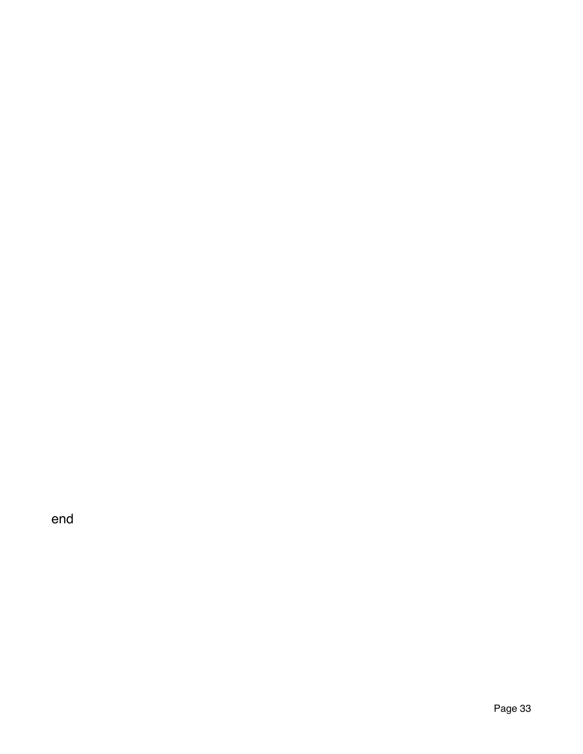end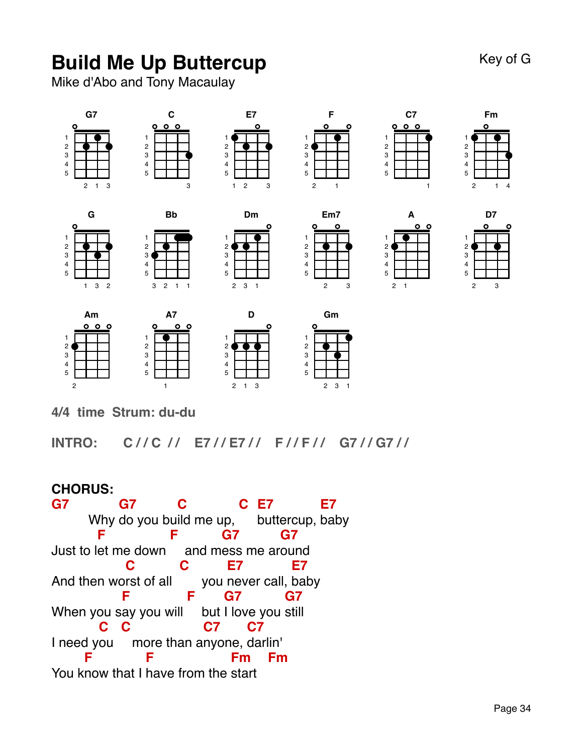# **Build Me Up Buttercup** Key of G

**C**

 $0<sub>o</sub>$ 

Mike d'Abo and Tony Macaulay

 



**INTRO:** C//C// E7//E7// F//F// G7//G7//

  **E7**



**F**















3 2

**G7**

1 3

**G**



**4/4 time Strum: du-du**









**CHORUS: G7** Why do you bu ild me up, **G7 C C E7** buttercup, baby **E7** Just to l et me down **F F** and m ess me ar ound **G7 G7** And then wo rst of all **C C** you never call, baby **E7 E7** When you s ay you will **F F** but I love you still **G7 G7** I need y ou **C C** more than a nyone, darlin' **C7 C7** You k now that I have from the start **F F Fm Fm**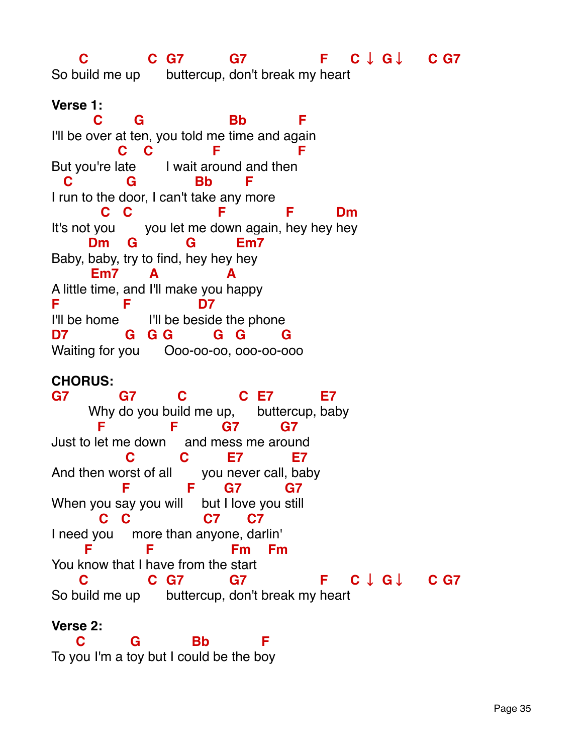So b uild me up buttercup, don't break my heart **C C G7 G7 F C ↓ G↓ C G7**

**Verse 1:** I'll be over at ten, you told me time and again **C G Bb F** But you're late l wait around and then **C C F F** I r un to the d oor, I can't t ake any more **C G Bb F** It's not y ou you let me d own again, hey hey hey **C C F F Dm** Baby, baby, t ry to find, hey hey hey **Dm G G Em7** A little time, and I'll make you happy **Em7 A A F** I'll be home I'll be be side the phone **F D7 D7** Waiting for y ou Ooo-oo-oo, ooo-oo-ooo **G G G G G G**

#### **CHORUS:**

**G7** Why do you bu ild me up, buttercup, baby **G7 C C E7 E7** Just to l et me down and m ess me ar ound **F F F F G7 G7** And then wo rst of all **C C** you never call, baby **E7 E7** When you say you will but I love you still **F F G7 G7** I need y ou more than a nyone, darlin' **C C C7 C7** You k now that I have from the start **F F Fm Fm** So b uild me up buttercup, don't break my heart **C C G7 G7 F C ↓ G↓ C G7**

#### **Verse 2:**

To y ou I'm a t oy but I co uld be the b oy**C G Bb F**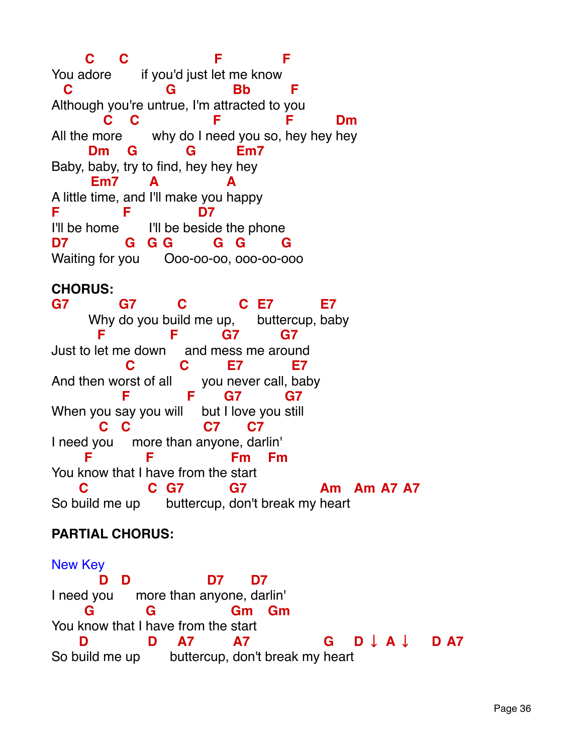You a dore if you'd just l et me know **C C F F** Al though you're unt rue, I'm attr acted to y ou **C G Bb F** All the more why do I need you so, hey hey hey **C C F F Dm** Baby, baby, t ry to find, hey hey hey **Dm G G Em7** A little time, and I'll make you happy **Em7 A A F** I'll be home I'll be be side the phone **F D7 D7** Waiting for y ou Ooo-oo-oo, ooo-oo-ooo **G G G G G G**

# **CHORUS:**

**G7** Why do you bu ild me up, buttercup, baby **G7 C C E7 E7** Just to l et me down and m ess me ar ound **F F G7 G7** And then wo rst of all **C C** you never call, baby **E7 E7** When you say you will but I love you still **F F G7 G7** I need y ou more than a nyone, darlin' **C C C7 C7** You k now that I have from the start **F F Fm Fm** So b uild me up buttercup, don't break my heart **C C G7 G7 Am Am A7 A7**

# **PARTIAL CHORUS:**

New Key I need y ou more than a nyone, darlin' **D D D7 D7** You k now that I have from the start **G G Gm Gm** So b uild me up b uttercup, don't break my heart **D D A7 A7 G D ↓ A ↓ D A7**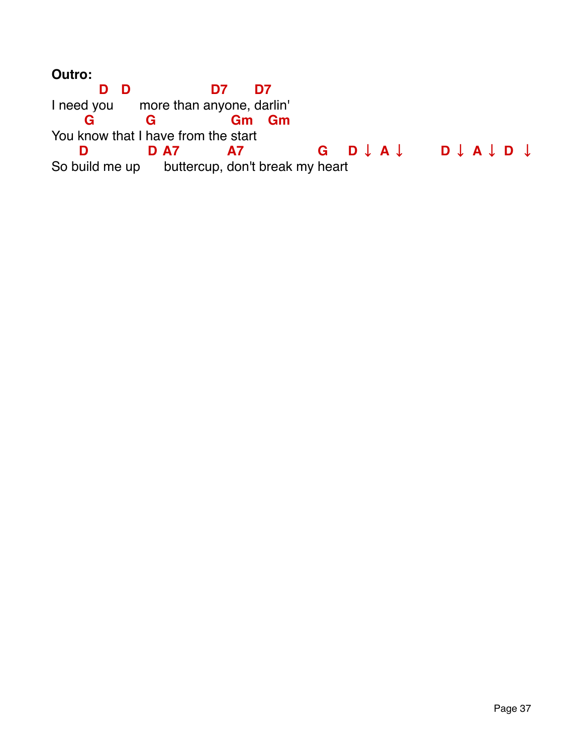**Outro:** I need y ou more than a nyone, darlin' **D D D7 D7** You k now that I have from the start **G G Gm Gm** So b uild me up buttercup, don't break my heart **D D A7 A7 G D ↓ A ↓ D ↓ A ↓ D ↓**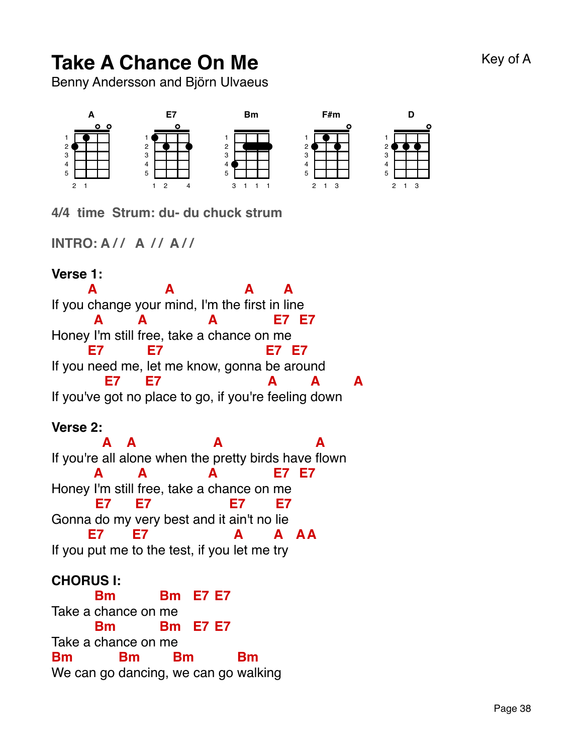# **Take A Chance On Me Take A Chance On Me**

Benny Andersson and Björn Ulvaeus



**4/4 time Strum: du- du chuck strum**

**INTRO: A// A// A//** 

#### **Verse 1:**

If you change your mind, I'm the first in line **A A A A** Honey I'm still free, take a chance on me **A A A E7 E7** If you need me, let me know, gonna be around **E7 E7 E7 E7** If you've got no place to go, if you're feeling down **E7 E7 A A A**

#### **Verse 2:**

If you're all alone when the pretty birds have flown **A A A A** Honey I'm still free, take a chance on me **A A A E7 E7** Gonna do my very best and it ain't no lie **E7 E7 E7 E7** If you put me to the test, if you let me try **E7 E7 A A AA**

### **CHORUS I:**

Take a chance on me **Bm Bm E7 E7** Take a chance on me **Bm Bm E7 E7 Bm** We can go dancing, we can go walking**Bm Bm Bm**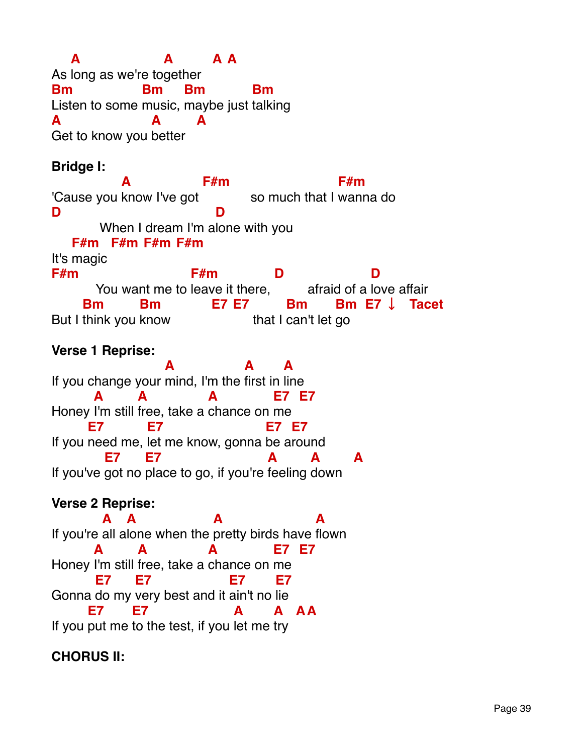As long as we're to gether **A A A A Bm** Listen to some music, maybe just talking **Bm Bm Bm A** Get to know you better **A A**

#### **Bridge I:**

'Cause you know I've got **A F#m** so much that I wanna do **F#m D** When I dream I'm a lone with you **D** It's magic **F#m F#m F#m F#m F#m** You want me to leave it there, **F#m D** afraid of a love affair **D** But I think you know **Bm Bm E7 E7** that I can't let go **Bm Bm E7 ↓ Tacet Verse 1 Reprise:** If you change your mind, I'm the first in line **A A A** Honey I'm still free, take a chance on me **A A A E7 E7** If you need me, let me know, gonna be around **E7 E7 E7 E7** If you've got no place to go, if you're feeling down **E7 E7 A A A Verse 2 Reprise:** If you're all alone when the pretty birds have flown **A A A A** Honey I'm still free, take a chance on me **A A A E7 E7** Gonna do my very best and it ain't no lie **E7 E7 E7 E7** If you put me to the test, if you let me try **E7 E7 A A AA**

# **CHORUS II:**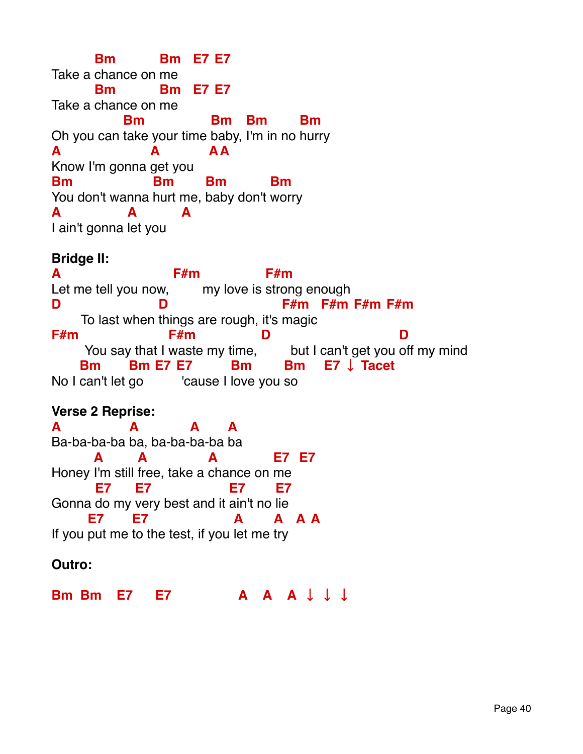Take a chance on me **Bm Bm E7 E7** Take a chance on me **Bm Bm E7 E7** Oh you can take your time baby, I'm in no hurry **Bm Bm Bm Bm A** Know I'm gonna get you **A AA Bm** You don't wanna hurt me, baby don't worry **Bm Bm Bm A** I ain't gonna let you **A A**

### **Bridge II:**

**A** Let me tell you now, **F#m** my love is strong enough **F#m D** To last when things are rough, it's magic **D F#m F#m F#m F#m F#m** You say that I waste my time, **F#m D** but I can't get you off my mind **D** No I can't let go 'cause I love you so **Bm Bm E7 E7 Bm Bm E7 ↓ Tacet**

# **Verse 2 Reprise:**

**A** Ba-ba-ba-ba ba, ba-ba-ba-ba ba **A A A** Honey I'm still free, take a chance on me **A A A E7 E7** Gonna do my very best and it ain't no lie **E7 E7 E7 E7** If you put me to the test, if you let me try **E7 E7 A A A A**

### **Outro:**

**Bm Bm E7 E7 A A A ↓ ↓ ↓**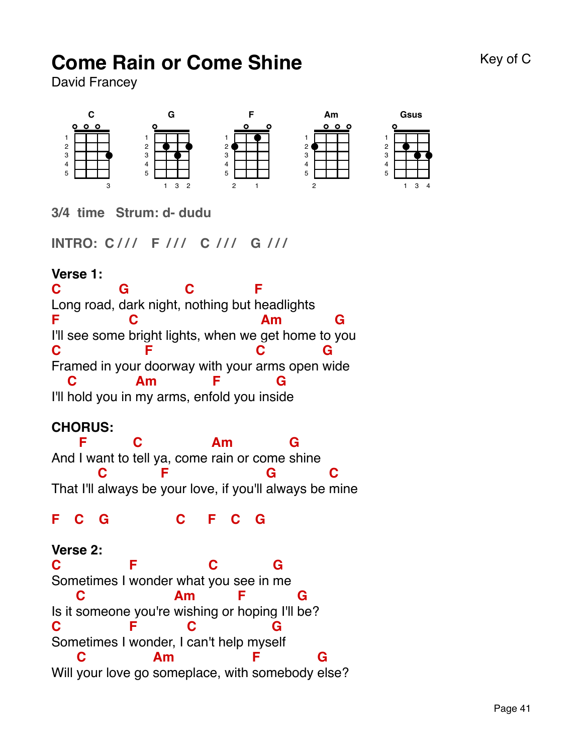# **Come Rain or Come Shine** Key of C

David Francey



**3/4 time Strum: d- dudu**

**INTRO: C / / / F / / / C / / / G / / /**

#### **Verse 1:**

**C** Long road, dark night, nothing but headlights **G C F F** I'll see some bright lights, when we get home to you **C Am G C** Framed in your doorway with your arms open wide **F C G** I'll hold you in my arms, enfold you inside **C Am F G**

### **CHORUS:**

And I want to tell ya, come rain or come shine **F C Am G** That I'll always be your love, if you'll always be mine **C F G C**

# **F C G C F C G**

**Verse 2: C** Sometimes I wonder what you see in me **F C G** Is it someone you're wishing or hoping I'll be? **C Am F G C** Sometimes I wonder, I can't help myself **F C G** Will your love go someplace, with somebody else?**C Am F G**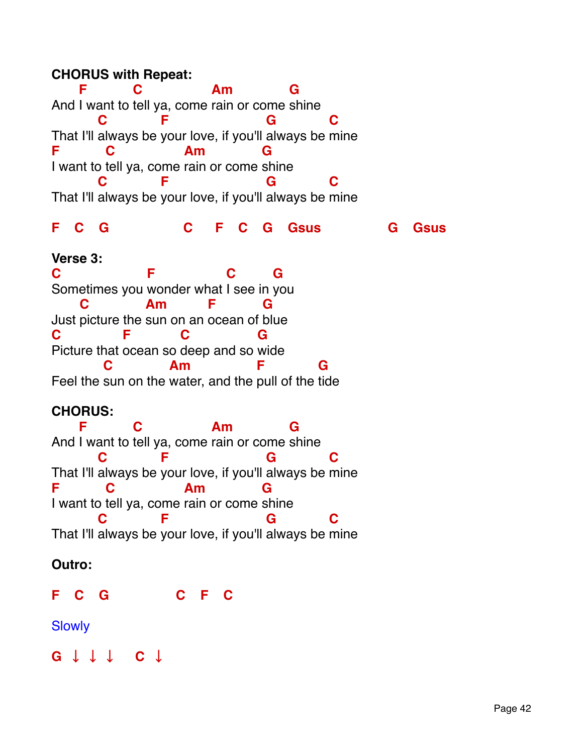#### **CHORUS with Repeat:**

And I want to tell ya, come rain or come shine **F C Am G** That I'll always be your love, if you'll always be mine **C F G C F** I want to tell ya, come rain or come shine **C Am G** That I'll always be your love, if you'll always be mine **C F G C**

### **F C G C F C G Gsus G Gsus**

**Verse 3:**

**C** Sometimes you wonder what I see in you **F C G** Just picture the sun on an ocean of blue **C Am F G C** Picture that ocean so deep and so wide **F C G** Feel the sun on the water, and the pull of the tide **C Am F G**

### **CHORUS:**

And I want to tell ya, come rain or come shine **F C Am G** That I'll always be your love, if you'll always be mine **C F G C F** I want to tell ya, come rain or come shine **C Am G** That I'll always be your love, if you'll always be mine **C F G C**

### **Outro:**

**F C G C F C**

#### **Slowly**

**G ↓ ↓ ↓ C ↓**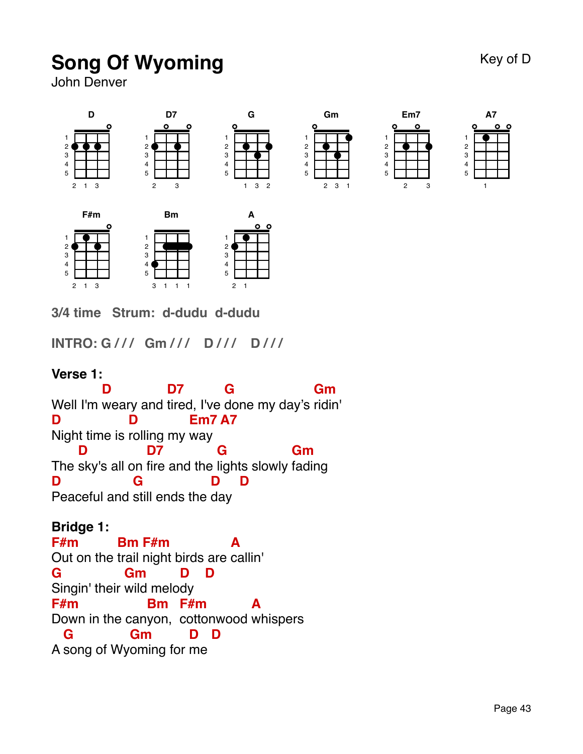# **Song Of Wyoming** Key of D

**A7**

1

John Denver

2 1 3

4 5





**Gm**

**Em7**

2 3

2 3 1

**3/4 time Strum: d-dudu d-dudu**

**INTRO: G / / / Gm / / / D / / / D / / /**

**Verse 1:** Well I'm weary and tired, I've done my day's ridin' **D D7 G Gm D** Night time is rolling my way **D Em7 A7** The sky's all on fire and the lights slowly fading **D D7 G Gm D** Peaceful and still ends the day **G D D**

#### **Bridge 1:**

**F#m** Out on the trail night birds are callin' **Bm F#m A G** Singin' their wild melo dy **Gm D D F#m** Down in the can yon, cottonwood whispers **Bm F#m A** A song of Wy oming for me **G Gm D D**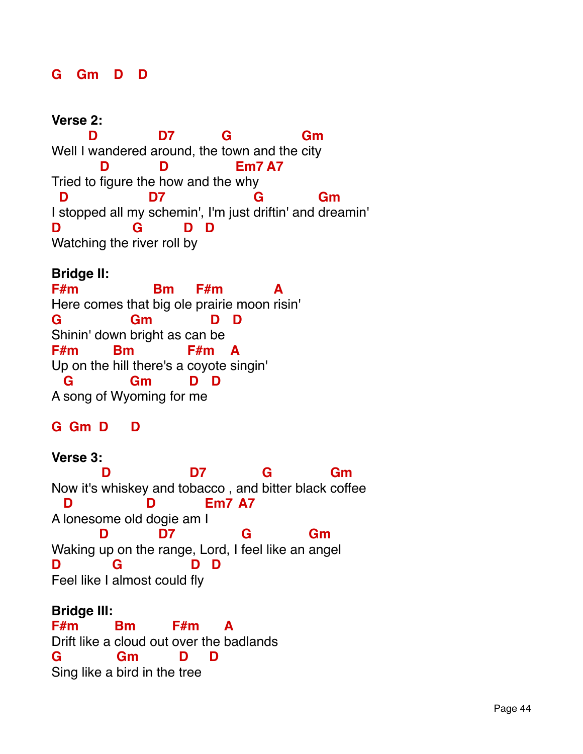#### **G Gm D D**

**Verse 2:** Well I wandered around, the town and the city **D D7 G Gm** Tried to figure the how and the why **D D Em7 A7** I stopped all my schemin', I'm just driftin' and dreamin' **D D7 G Gm D** Watching the river roll by **G D D**

#### **Bridge II:**

**F#m** Here comes that big ole prairie moon risin' **Bm F#m A G** Shinin' down bright as can be **Gm D D F#m** Up on the hill there's a coyote singin' **Bm F#m A** A song of Wy oming for me **G Gm D D**

#### **G Gm D D**

**Verse 3:** Now it's whiskey and to bacco , and bitter black coffee **D D7 G Gm** A lonesome old dogie am I **D D Em7 A7** Waking up on the range, Lord, I feel like an angel **D D7 G Gm D** Feel like I almost could fly **G D D**

#### **Bridge III:**

**F#m** Drift like a cloud out over the badlands **Bm F#m A G** Sing like a bird in the tree **Gm D D**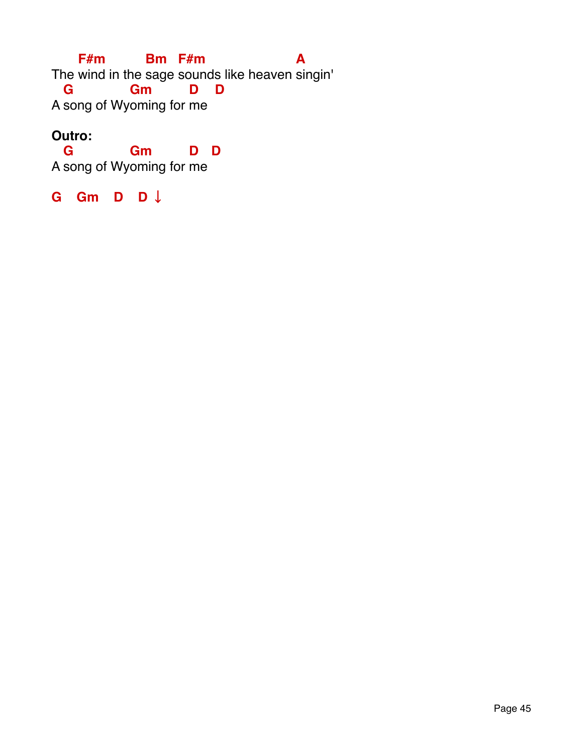The wind in the sage sounds like heaven singin' **F#m Bm F#m A** A song of Wy oming for me **G Gm D D**

#### **Outro:**

A song of Wy oming for me **G Gm D D**

**G Gm D D ↓**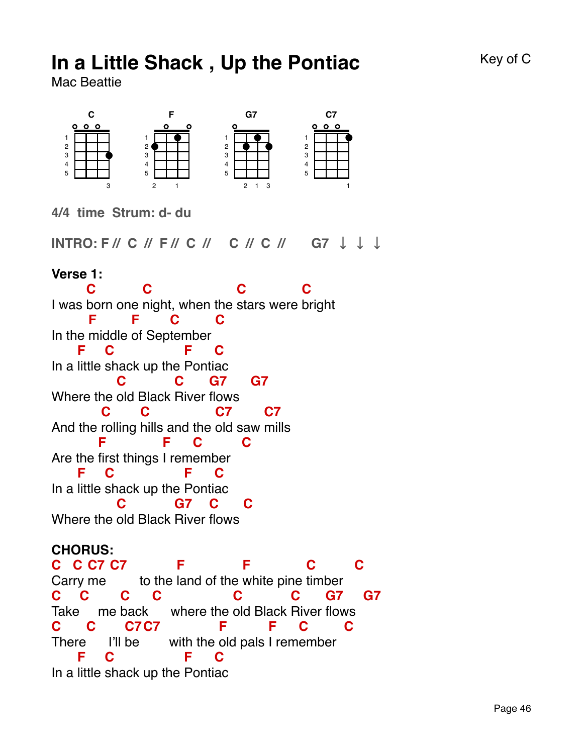Mac Beattie



**4/4 time Strum: d- du**

**INTRO: F // C // F // C // C // C // G7 ↓ ↓ ↓**

**Verse 1:** I was born one night, when the stars were bright **C C C C** In the middle of Sep tember **F F C C** In a little shack up the Ponti ac **F C F C** Where the old Black River flows **C C G7 G7** And the rolling hills and the old saw mills **C C C7 C7** Are the first things I remember **F F C C** In a little shack up the Ponti ac **F C F C** Where the old Black River flows **C G7 C C**

#### **CHORUS:**

**C C C7 C7** Car ry me to the land of the white pine timber **F F C C C** Take me back **C C C** where the old Black River flows **C C G7 G7 C** There **C** I'll be **C7 C7** with the old pals I remember **F F C C** In a little shack up the Ponti ac**F C F C**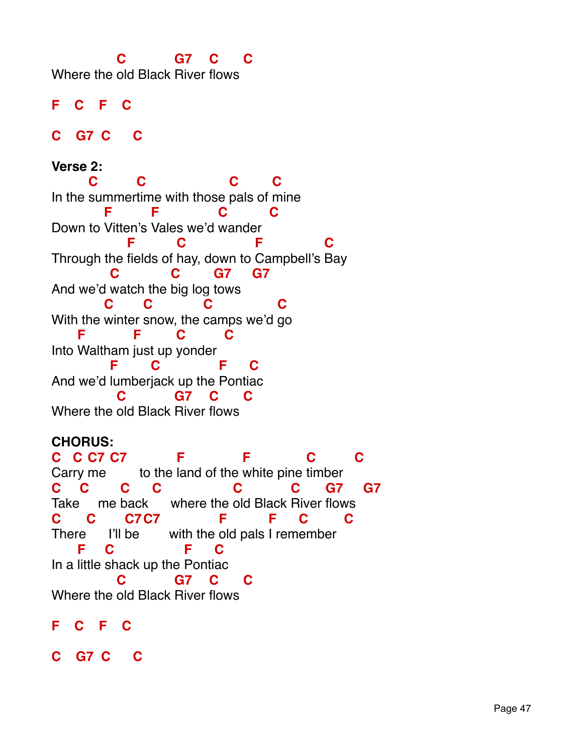Where the old Black River flows **C G7 C C**

# **F C F C**

**C G7 C C**

### **Verse 2:**

In the summer time with those pals of mine **C C C C** Down to Vitten's Vales we'd wander **F F C C** Through the fields of hay, down to Campbell's Bay **F C F C** And we'd watch the big log tows **C C G7 G7** With the winter snow, the camps we'd go **C C C C** Into Waltham just up yonder **F F C C** And we'd lumber jack up the Ponti ac **F C F C** Where the old Black River flows **C G7 C C**

### **CHORUS:**

**C C C7 C7** Car ry me to the land of the white pine timber **F F C C C** Take me back **C C C** where the old Black River flows **C C G7 G7 C** There **C** I'll be **C7 C7** with the old pals I remember **F F C C** In a little shack up the Ponti ac **F C F C** Where the old Black River flows **C G7 C C**

- **F C F C**
- **C G7 C C**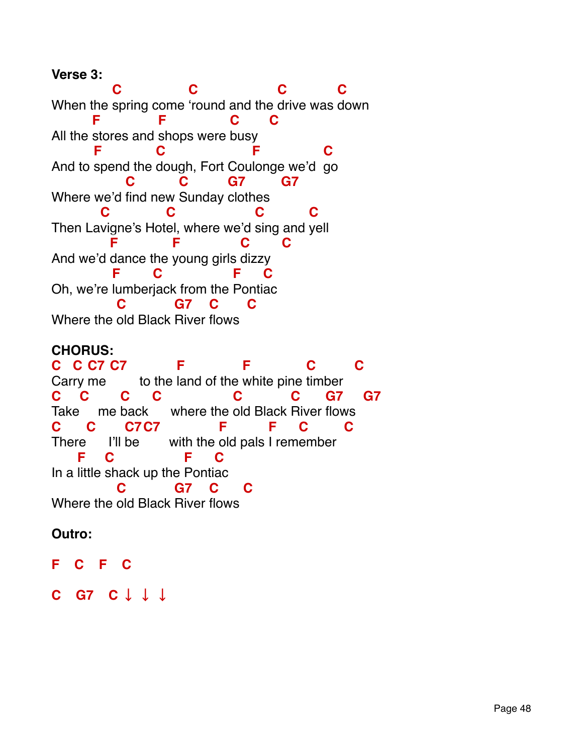**Verse 3:**

When the spring come 'round and the drive was down **C C C C** All the stores and shops were busy **F F C C** And to spend the dough, Fort Cou longe we'd go **F C F C** Where we'd find new Sunday clothes **C C G7 G7** Then Lavigne's Hotel, where we'd sing and yell **C C C C** And we'd dance the young girls dizzy **F F C C** Oh, we're lumber jack from the Ponti ac **F C F C** Where the old Black River flows **C G7 C C**

# **CHORUS:**

**C C C7 C7** Car ry me to the land of the white pine timber **F F C C C** Take me back **C C C** where the old Black River flows **C C G7 G7 C** There **C** I'll be **C7 C7** with the old pals I remember **F F C C** In a little shack up the Ponti ac **F C F C** Where the old Black River flows **C G7 C C**

# **Outro:**

**F C F C**

**C G7 C ↓ ↓ ↓**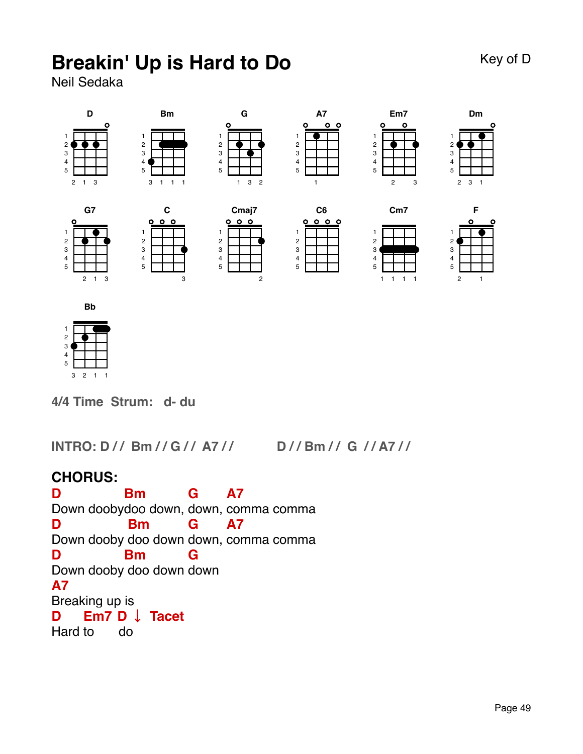# **Breakin' Up is Hard to Do** Key of D

Neil Sedaka





**4/4 Time Strum: d- du**

**INTRO: D / / Bm / / G / / A7 / / D / / Bm / / G / / A7 / /**

# **CHORUS:**

**D** Down dooby doo down, down, comma comma **Bm G A7 D** Down dooby doo down down, comma comma **Bm G A7 D** Down dooby doo down down **Bm G A7** Breaking up is **D** Hard to **Em7 D ↓ Tacet**do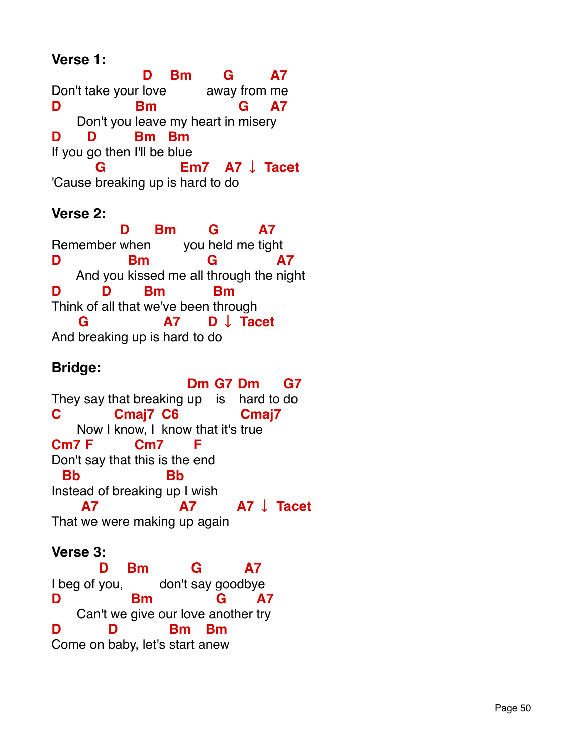#### **Verse 1:**

Don't take your love **D Bm** aw ay from me **G A7 D** Don't you leave my heart in miser y **Bm G A7 D** If you go then I'll be blue **D Bm Bm** 'Cause breaking up is hard to do **G Em7 A7 ↓ Tacet**

#### **Verse 2:**

Remember when **D Bm** you held me tight **G A7 D** And you kissed me all through the night **Bm G A7 D** Think of all that we've been through **D Bm Bm** And breaking up is hard to do **G A7 D ↓ Tacet**

# **Bridge:**

They say that breaking up is hard to do **Dm G7 Dm G7 C** Now I know, I know that it's true **Cmaj7 C6 Cmaj7 Cm7 F** Don't say that this is the end **Cm7 F** In stead of breaking up I wish **Bb Bb** That we were making up again **A7 A7 A7 ↓ Tacet**

### **Verse 3:**

I beg of you, **D Bm** don't say good bye **G A7 D** Can't we give our love a nother try **Bm G A7 D** Come on baby, let's start a new**D Bm Bm**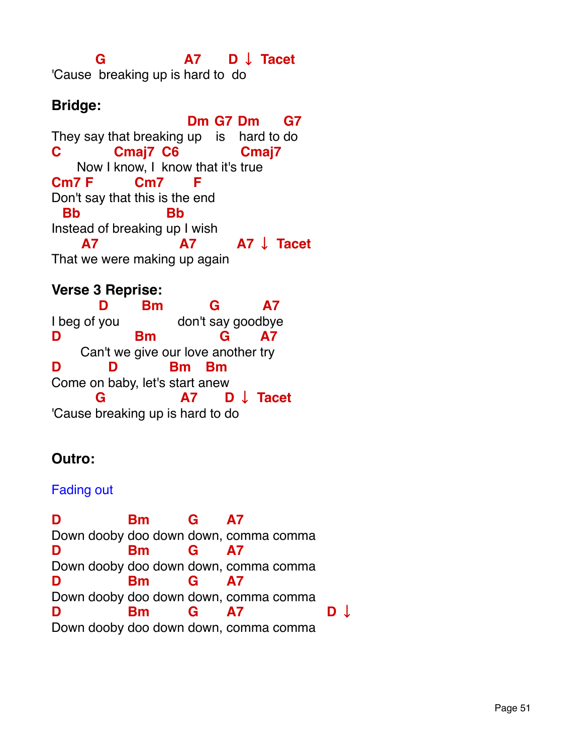'Cause breaking up is hard to do **G A7 D ↓ Tacet**

# **Bridge:**

They say that breaking up is hard to do **Dm G7 Dm G7 C** Now I know, I know that it's true **Cmaj7 C6 Cmaj7 Cm7 F** Don't say that this is the end **Cm7 F** In stead of breaking up I wish **Bb Bb** That we were making up again **A7 A7 A7 ↓ Tacet**

### **Verse 3 Reprise:**

I beg of you **D Bm** don't say good bye **G A7 D** Can't we give our love a nother try **Bm G A7 D** Come on baby, let's start a new **D Bm Bm** 'Cause breaking up is hard to do **G A7 D ↓ Tacet**

# **Outro:**

#### Fading out

**D** Down dooby doo down down, comma comma **Bm G A7 D** Down dooby doo down down, comma comma **Bm G A7 D** Down dooby doo down down, comma comma **Bm G A7 D** Down dooby doo down down, comma comma **Bm G A7 D ↓**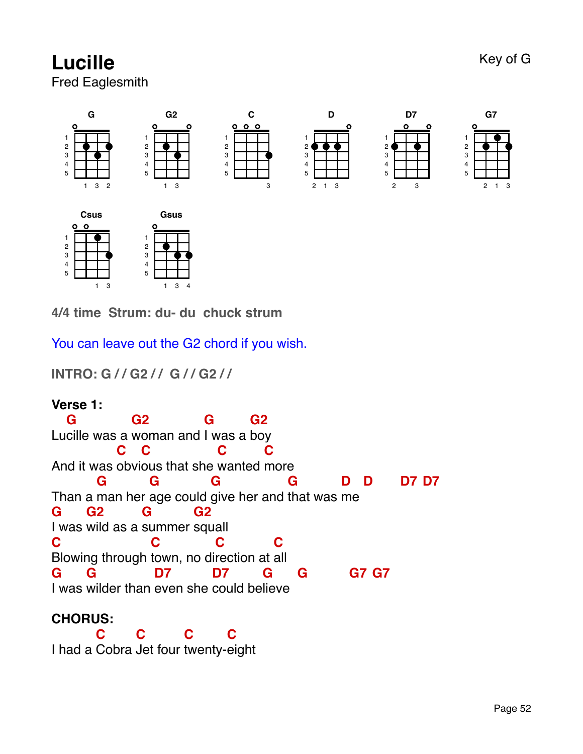# **Lucille** Key of G

1

4 5

1

Fred Eaglesmith



1 3 2 3 4  $\overline{5}$ 1 3 4 2 3 4 5

1

**4/4 time Strum: du- du chuck strum**

You can leave out the G2 chord if you wish.

**INTRO: G / / G2 / / G / / G2 / /**

### **Verse 1:**

Lu cille was a woman and I was a boy **G G2 G G2** And it was obvi ous that she wanted more **C C C C** Than a man her age could give her and that was me **G G G G D D D7 D7 G** I was wild as a summer squall **G2 G G2 C** Blowing through town, no direction at all **C C C G** I was wilder than even she could be lieve **G D7 D7 G G G7 G7**

# **CHORUS:**

I had a Cobra Jet four twenty-eight **C C C C**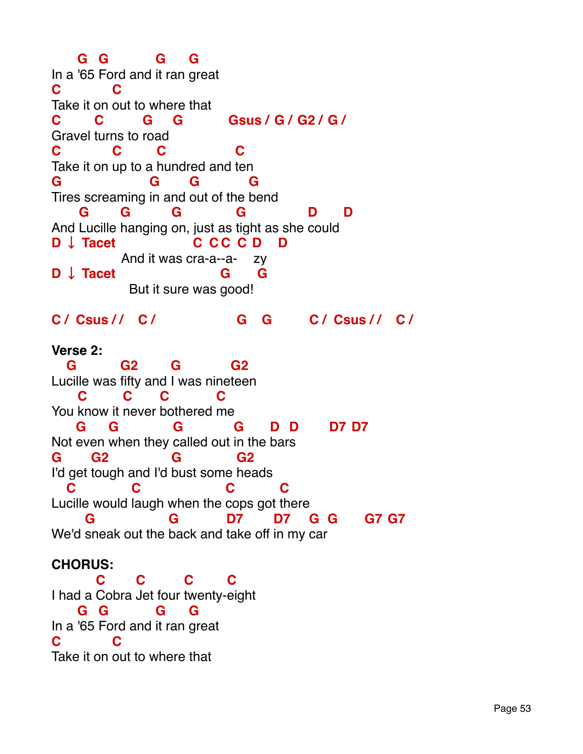In a '65 Ford and it ran great **G G G G C** Take it on out to where that **C C** Gravel turns to road **C G G Gsus / G / G2 / G / C** Take it on up to a hundred and ten **C C C G** Tires screaming in and out of the bend **G G G** And Lucille hanging on, just as tight as she could **G G G G D D D ↓ Tacet** And it was cra-a--a-**C C C C D D** zy **D ↓ Tacet** But it sure was good! **G G C / Csus / / C / G G C / Csus / / C / Verse 2:** Lucille was fifty and I was nineteen **G G2 G G2** You know it never bothered me **C C C C** Not even when they called out in the bar s **G G G G D D D7 D7 G** I'd get tough and I'd bust some heads **G2 G G2** Lu cille would laugh when the cops got there **C C C C** We'd sneak out the back and take off in my car **G G D7 D7 G G G7 G7 CHORUS:**

I had a Cobra Jet four twenty-eight **C C C C** In a '65 Ford and it ran great **G G G G C** Take it on out to where that**C**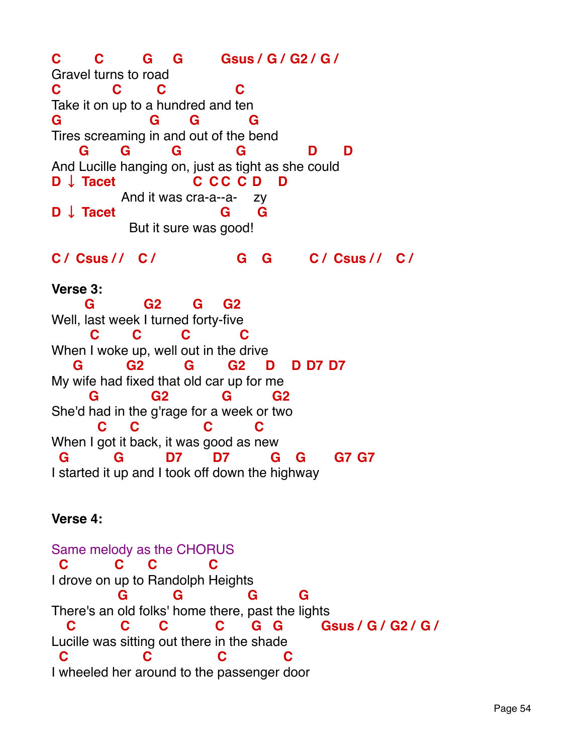**C** Gravel turns to road **C G G Gsus / G / G2 / G / C** Take it on up to a hundred and ten **C C C G** Tires screaming in and out of the bend **G G G** And Lucille hanging on, just as tight as she could **G G G G D D D ↓ Tacet** And it was cra-a--a-**C C C C D D** zy **D ↓ Tacet** But it sure was good! **G G C / Csus / / C / G G C / Csus / / C / Verse 3:** Well, last week I turned forty-five **G G2 G G2** When I woke up, well out in the drive **C C C C** My wife had fixed that old car up for me **G G2 G G2 D D D7 D7** She'd had in the g'rage for a week or two **G G2 G G2** When I got it back, it was good as new **C C C C** I started it up and I took off down the highway **G G D7 D7 G G G7 G7**

### **Verse 4:**

Same melody as the CHORUS I drove on up to Randolph Heights **C C C C** There's an old folks' home there, past the lights **G G G G** Lucille was sitting out there in the shade **C C C C G G Gsus / G / G2 / G /** I wheeled her a round to the passenger door**C C C C**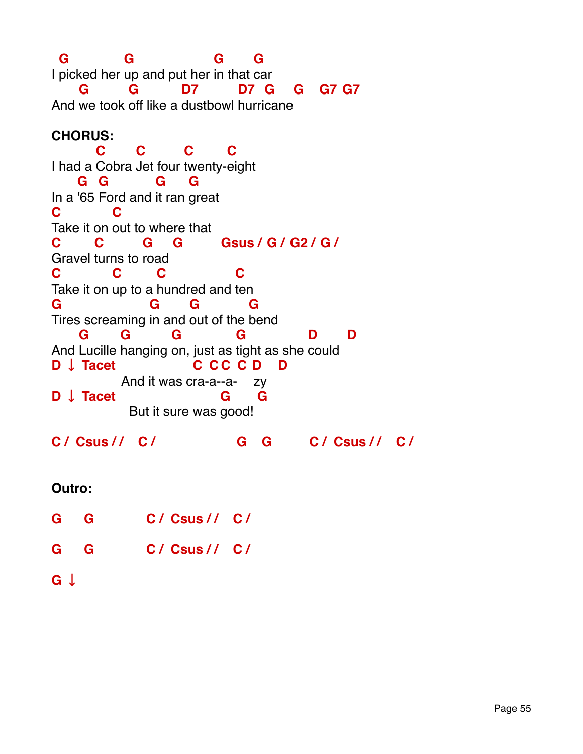I picked her up and put her in that car **G G G G** And we took off like a dustbowl hurri cane **G G D7 D7 G G G7 G7**

### **CHORUS:**

I had a Cobra Jet four twenty-eight **C C C C C** In a '65 Ford and it ran great **G G G G C** Take it on out to where that **C C** Gravel turns to road **C G G Gsus / G / G2 / G / C** Take it on up to a hundred and ten **C C C G** Tires screaming in and out of the bend **G G G** And Lucille hanging on, just as tight as she could **G G G G D D D ↓ Tacet** And it was cra-a--a-**C C C C D D** zy **D ↓ Tacet** But it sure was good! **G G C / Csus / / C / G G C / Csus / / C /**

**Outro:**

| G G | C/Csus// C/ |  |
|-----|-------------|--|
|     |             |  |

- **G G C / Csus / / C /**
- **G ↓**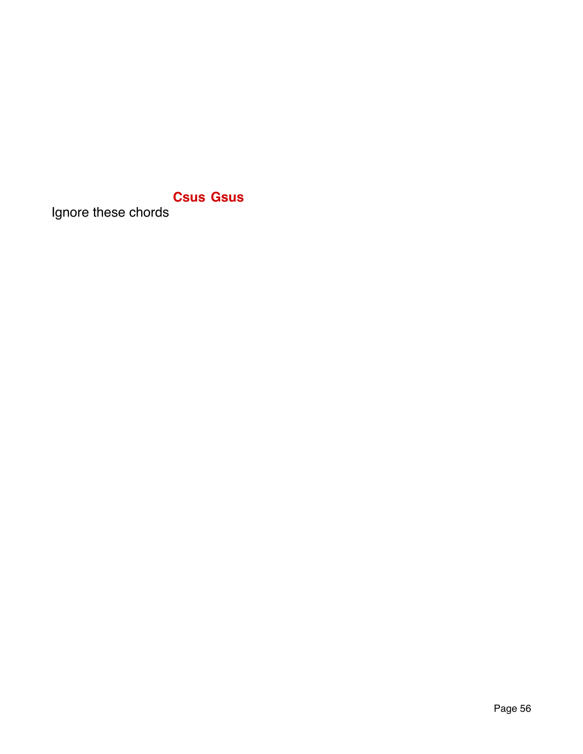### **Csus Gsus**

Ignore these chords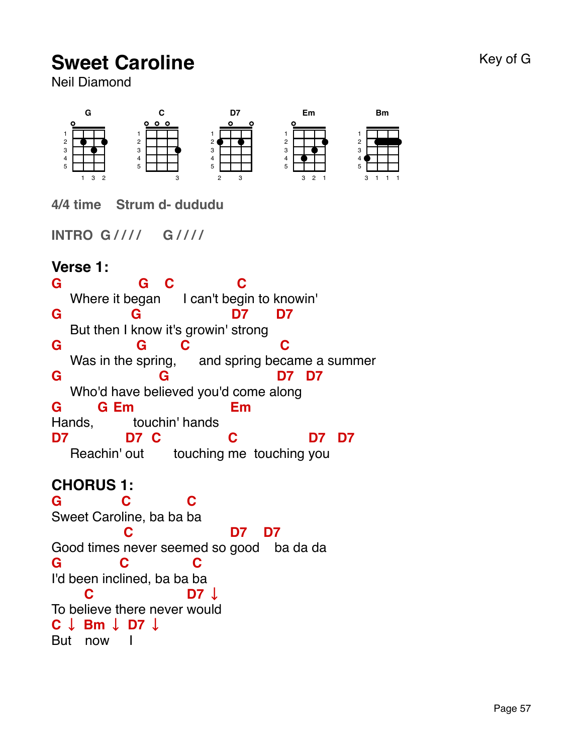# **Sweet Caroline** Key of G

Neil Diamond



**4/4 time Strum d- dududu**

**INTRO G / / / / G / / / /**

**Verse 1: G** Where it be gan **G C** I can't be gin to knowin' **C G** But then I know it's growin' strong **G D7 D7 G** Was in the spring, **G C** and spring be came a summer **C G** Who'd have be lieved you'd come a long **G D7 D7 G** Hands, **G Em** touchin' hands **Em D7** Reachin' out touching me touching you **D7 C C D7 D7**

**CHORUS 1:**

**G** Sweet Caro line, ba ba ba **C C** Good times never seemed so good ba da da **C D7 D7 G** I'd been inc lined, ba ba ba **C C** To be lieve there never would **C D7 ↓ C ↓ Bm ↓ D7 ↓** But now I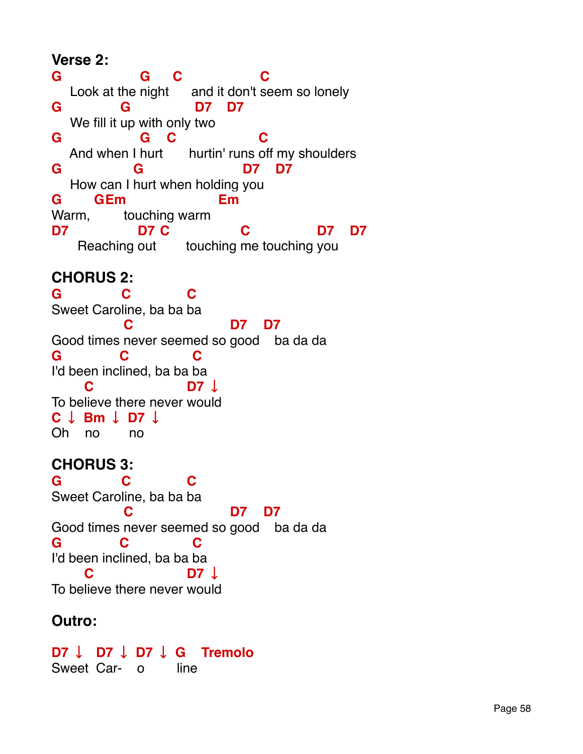# **Verse 2:**

**G** Look at the night and it don't seem so lonely **G C C G** We fill it up with only two **G D7 D7 G** And when I hurt hurtin' runs off my shoulders **G C C G** How can I hurt when holding you **G D7 D7 G** Warm, **GEm** touching warm **Em D7** Reaching out touching me touching you **D7 C C D7 D7**

# **CHORUS 2:**

**G** Sweet Caro line, ba ba ba **C C** Good times never seemed so good ba da da **C D7 D7 G** I'd been inc lined, ba ba ba **C C** To be lieve there never would **C D7 ↓ C ↓ Bm ↓ D7 ↓** Oh no no

# **CHORUS 3:**

**G** Sweet Caro line, ba ba ba **C C** Good times never seemed so good ba da da **C D7 D7 G** I'd been inc lined, ba ba ba **C C** To be lieve there never would **C D7 ↓**

# **Outro:**

**D7 ↓ D7 ↓ D7 ↓ G Tremolo**Sweet Car-o line